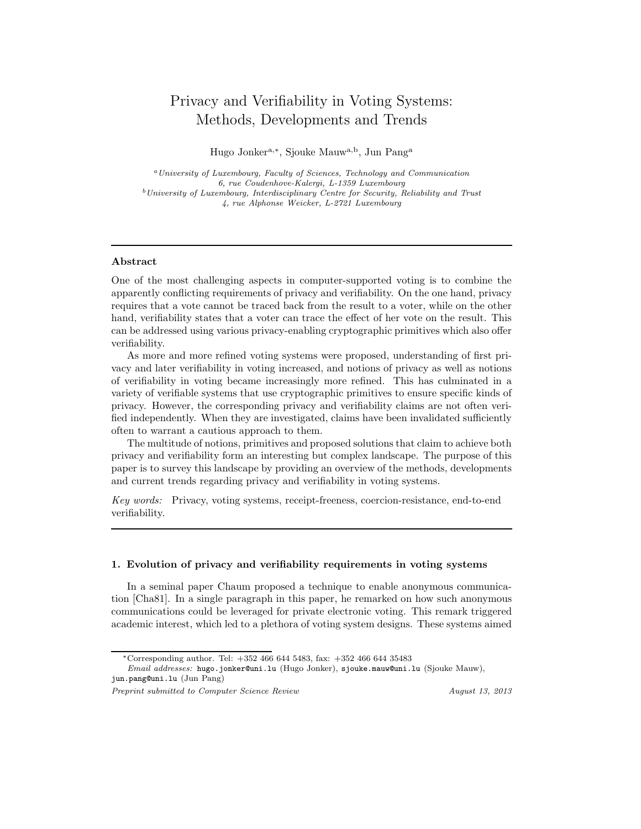# Privacy and Verifiability in Voting Systems: Methods, Developments and Trends

Hugo Jonker<sup>a,∗</sup>, Sjouke Mauw<sup>a,b</sup>, Jun Pang<sup>a</sup>

<sup>a</sup>University of Luxembourg, Faculty of Sciences, Technology and Communication 6, rue Coudenhove-Kalergi, L-1359 Luxembourg <sup>b</sup>University of Luxembourg, Interdisciplinary Centre for Security, Reliability and Trust 4, rue Alphonse Weicker, L-2721 Luxembourg

## Abstract

One of the most challenging aspects in computer-supported voting is to combine the apparently conflicting requirements of privacy and verifiability. On the one hand, privacy requires that a vote cannot be traced back from the result to a voter, while on the other hand, verifiability states that a voter can trace the effect of her vote on the result. This can be addressed using various privacy-enabling cryptographic primitives which also offer verifiability.

As more and more refined voting systems were proposed, understanding of first privacy and later verifiability in voting increased, and notions of privacy as well as notions of verifiability in voting became increasingly more refined. This has culminated in a variety of verifiable systems that use cryptographic primitives to ensure specific kinds of privacy. However, the corresponding privacy and verifiability claims are not often verified independently. When they are investigated, claims have been invalidated sufficiently often to warrant a cautious approach to them.

The multitude of notions, primitives and proposed solutions that claim to achieve both privacy and verifiability form an interesting but complex landscape. The purpose of this paper is to survey this landscape by providing an overview of the methods, developments and current trends regarding privacy and verifiability in voting systems.

Key words: Privacy, voting systems, receipt-freeness, coercion-resistance, end-to-end verifiability.

## 1. Evolution of privacy and verifiability requirements in voting systems

In a seminal paper Chaum proposed a technique to enable anonymous communication [Cha81]. In a single paragraph in this paper, he remarked on how such anonymous communications could be leveraged for private electronic voting. This remark triggered academic interest, which led to a plethora of voting system designs. These systems aimed

<sup>\*</sup>Corresponding author. Tel:  $+352, 466, 644, 5483, \text{ fax: } +352, 466, 644, 35483$ 

Email addresses: hugo.jonker@uni.lu (Hugo Jonker), sjouke.mauw@uni.lu (Sjouke Mauw), jun.pang@uni.lu (Jun Pang)

Preprint submitted to Computer Science Review August 13, 2013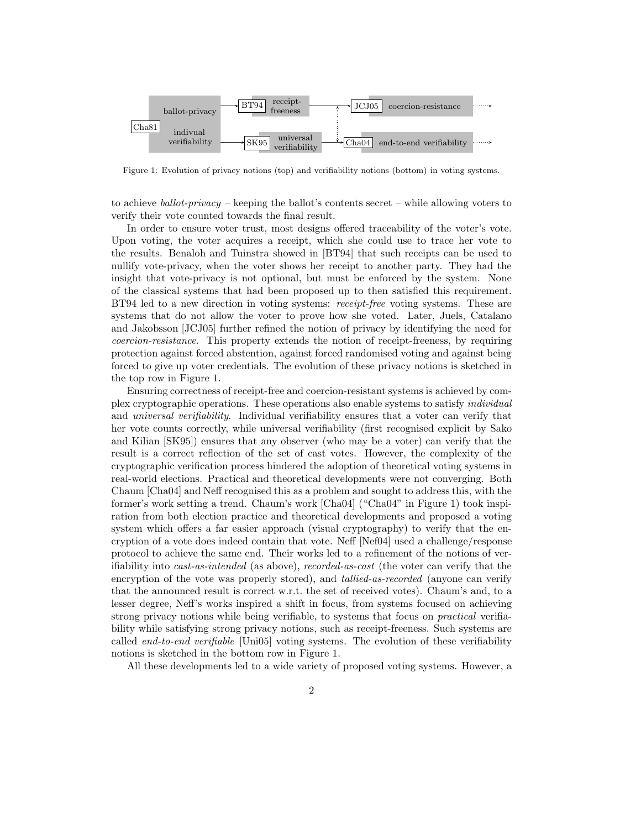

Figure 1: Evolution of privacy notions (top) and verifiability notions (bottom) in voting systems.

to achieve ballot-privacy – keeping the ballot's contents secret – while allowing voters to verify their vote counted towards the final result.

In order to ensure voter trust, most designs offered traceability of the voter's vote. Upon voting, the voter acquires a receipt, which she could use to trace her vote to the results. Benaloh and Tuinstra showed in [BT94] that such receipts can be used to nullify vote-privacy, when the voter shows her receipt to another party. They had the insight that vote-privacy is not optional, but must be enforced by the system. None of the classical systems that had been proposed up to then satisfied this requirement. BT94 led to a new direction in voting systems: receipt-free voting systems. These are systems that do not allow the voter to prove how she voted. Later, Juels, Catalano and Jakobsson [JCJ05] further refined the notion of privacy by identifying the need for coercion-resistance. This property extends the notion of receipt-freeness, by requiring protection against forced abstention, against forced randomised voting and against being forced to give up voter credentials. The evolution of these privacy notions is sketched in the top row in Figure 1.

Ensuring correctness of receipt-free and coercion-resistant systems is achieved by complex cryptographic operations. These operations also enable systems to satisfy individual and universal verifiability. Individual verifiability ensures that a voter can verify that her vote counts correctly, while universal verifiability (first recognised explicit by Sako and Kilian [SK95]) ensures that any observer (who may be a voter) can verify that the result is a correct reflection of the set of cast votes. However, the complexity of the cryptographic verification process hindered the adoption of theoretical voting systems in real-world elections. Practical and theoretical developments were not converging. Both Chaum [Cha04] and Neff recognised this as a problem and sought to address this, with the former's work setting a trend. Chaum's work [Cha04] ("Cha04" in Figure 1) took inspiration from both election practice and theoretical developments and proposed a voting system which offers a far easier approach (visual cryptography) to verify that the encryption of a vote does indeed contain that vote. Neff [Nef04] used a challenge/response protocol to achieve the same end. Their works led to a refinement of the notions of verifiability into cast-as-intended (as above), recorded-as-cast (the voter can verify that the encryption of the vote was properly stored), and *tallied-as-recorded* (anyone can verify that the announced result is correct w.r.t. the set of received votes). Chaum's and, to a lesser degree, Neff's works inspired a shift in focus, from systems focused on achieving strong privacy notions while being verifiable, to systems that focus on practical verifiability while satisfying strong privacy notions, such as receipt-freeness. Such systems are called end-to-end verifiable [Uni05] voting systems. The evolution of these verifiability notions is sketched in the bottom row in Figure 1.

All these developments led to a wide variety of proposed voting systems. However, a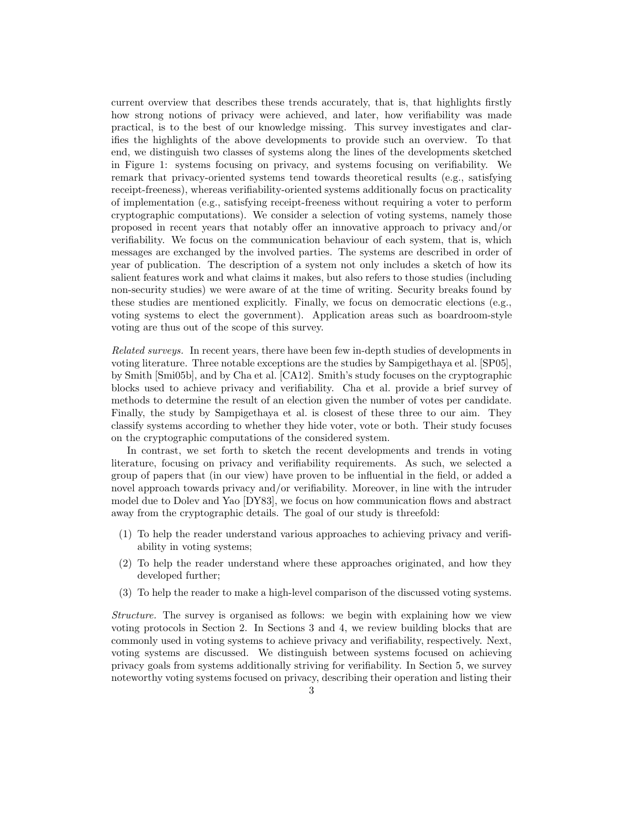current overview that describes these trends accurately, that is, that highlights firstly how strong notions of privacy were achieved, and later, how verifiability was made practical, is to the best of our knowledge missing. This survey investigates and clarifies the highlights of the above developments to provide such an overview. To that end, we distinguish two classes of systems along the lines of the developments sketched in Figure 1: systems focusing on privacy, and systems focusing on verifiability. We remark that privacy-oriented systems tend towards theoretical results (e.g., satisfying receipt-freeness), whereas verifiability-oriented systems additionally focus on practicality of implementation (e.g., satisfying receipt-freeness without requiring a voter to perform cryptographic computations). We consider a selection of voting systems, namely those proposed in recent years that notably offer an innovative approach to privacy and/or verifiability. We focus on the communication behaviour of each system, that is, which messages are exchanged by the involved parties. The systems are described in order of year of publication. The description of a system not only includes a sketch of how its salient features work and what claims it makes, but also refers to those studies (including non-security studies) we were aware of at the time of writing. Security breaks found by these studies are mentioned explicitly. Finally, we focus on democratic elections (e.g., voting systems to elect the government). Application areas such as boardroom-style voting are thus out of the scope of this survey.

Related surveys. In recent years, there have been few in-depth studies of developments in voting literature. Three notable exceptions are the studies by Sampigethaya et al. [SP05], by Smith [Smi05b], and by Cha et al. [CA12]. Smith's study focuses on the cryptographic blocks used to achieve privacy and verifiability. Cha et al. provide a brief survey of methods to determine the result of an election given the number of votes per candidate. Finally, the study by Sampigethaya et al. is closest of these three to our aim. They classify systems according to whether they hide voter, vote or both. Their study focuses on the cryptographic computations of the considered system.

In contrast, we set forth to sketch the recent developments and trends in voting literature, focusing on privacy and verifiability requirements. As such, we selected a group of papers that (in our view) have proven to be influential in the field, or added a novel approach towards privacy and/or verifiability. Moreover, in line with the intruder model due to Dolev and Yao [DY83], we focus on how communication flows and abstract away from the cryptographic details. The goal of our study is threefold:

- (1) To help the reader understand various approaches to achieving privacy and verifiability in voting systems;
- (2) To help the reader understand where these approaches originated, and how they developed further;
- (3) To help the reader to make a high-level comparison of the discussed voting systems.

Structure. The survey is organised as follows: we begin with explaining how we view voting protocols in Section 2. In Sections 3 and 4, we review building blocks that are commonly used in voting systems to achieve privacy and verifiability, respectively. Next, voting systems are discussed. We distinguish between systems focused on achieving privacy goals from systems additionally striving for verifiability. In Section 5, we survey noteworthy voting systems focused on privacy, describing their operation and listing their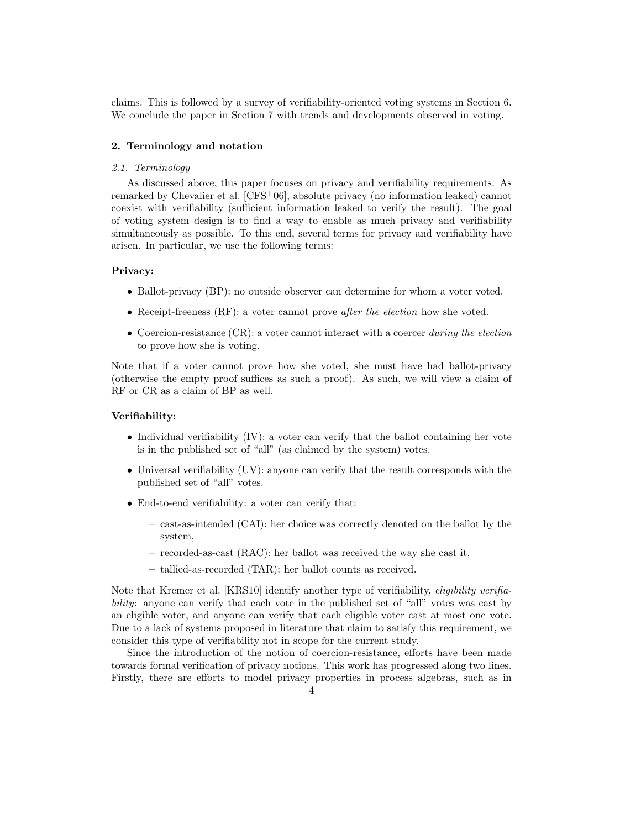claims. This is followed by a survey of verifiability-oriented voting systems in Section 6. We conclude the paper in Section 7 with trends and developments observed in voting.

# 2. Terminology and notation

#### 2.1. Terminology

As discussed above, this paper focuses on privacy and verifiability requirements. As remarked by Chevalier et al. [CFS<sup>+</sup>06], absolute privacy (no information leaked) cannot coexist with verifiability (sufficient information leaked to verify the result). The goal of voting system design is to find a way to enable as much privacy and verifiability simultaneously as possible. To this end, several terms for privacy and verifiability have arisen. In particular, we use the following terms:

# Privacy:

- Ballot-privacy (BP): no outside observer can determine for whom a voter voted.
- Receipt-freeness (RF): a voter cannot prove *after the election* how she voted.
- Coercion-resistance  $(CR)$ : a voter cannot interact with a coercer during the election to prove how she is voting.

Note that if a voter cannot prove how she voted, she must have had ballot-privacy (otherwise the empty proof suffices as such a proof). As such, we will view a claim of RF or CR as a claim of BP as well.

# Verifiability:

- Individual verifiability (IV): a voter can verify that the ballot containing her vote is in the published set of "all" (as claimed by the system) votes.
- Universal verifiability (UV): anyone can verify that the result corresponds with the published set of "all" votes.
- End-to-end verifiability: a voter can verify that:
	- cast-as-intended (CAI): her choice was correctly denoted on the ballot by the system,
	- recorded-as-cast (RAC): her ballot was received the way she cast it,
	- tallied-as-recorded (TAR): her ballot counts as received.

Note that Kremer et al. [KRS10] identify another type of verifiability, eligibility verifiability: anyone can verify that each vote in the published set of "all" votes was cast by an eligible voter, and anyone can verify that each eligible voter cast at most one vote. Due to a lack of systems proposed in literature that claim to satisfy this requirement, we consider this type of verifiability not in scope for the current study.

Since the introduction of the notion of coercion-resistance, efforts have been made towards formal verification of privacy notions. This work has progressed along two lines. Firstly, there are efforts to model privacy properties in process algebras, such as in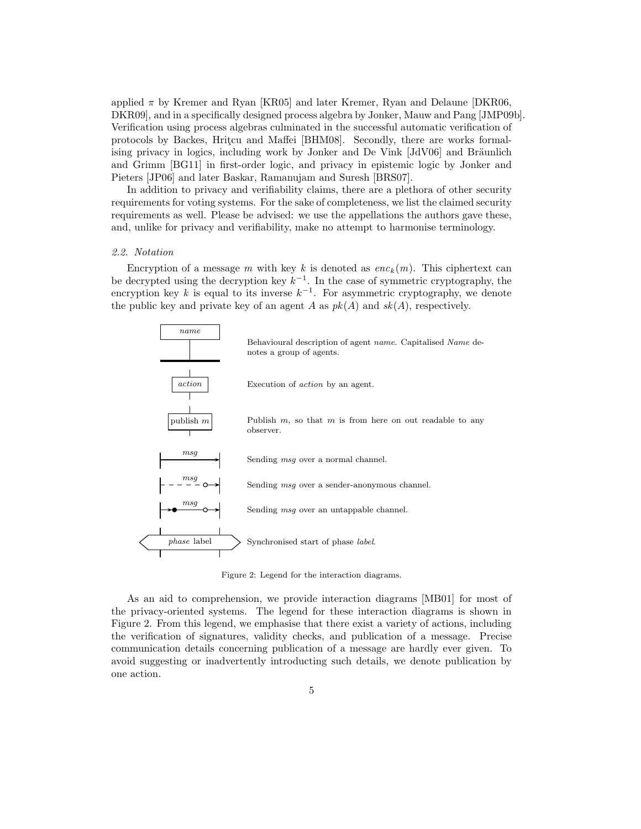applied  $\pi$  by Kremer and Ryan [KR05] and later Kremer, Ryan and Delaune [DKR06, DKR09], and in a specifically designed process algebra by Jonker, Mauw and Pang [JMP09b]. Verification using process algebras culminated in the successful automatic verification of protocols by Backes, Hritcu and Maffei [BHM08]. Secondly, there are works formalising privacy in logics, including work by Jonker and De Vink  $JdV06$  and Bräunlich and Grimm [BG11] in first-order logic, and privacy in epistemic logic by Jonker and Pieters [JP06] and later Baskar, Ramanujam and Suresh [BRS07].

In addition to privacy and verifiability claims, there are a plethora of other security requirements for voting systems. For the sake of completeness, we list the claimed security requirements as well. Please be advised: we use the appellations the authors gave these, and, unlike for privacy and verifiability, make no attempt to harmonise terminology.

## 2.2. Notation

Encryption of a message m with key k is denoted as  $enc_k(m)$ . This ciphertext can be decrypted using the decryption key  $k^{-1}$ . In the case of symmetric cryptography, the encryption key k is equal to its inverse  $k^{-1}$ . For asymmetric cryptography, we denote the public key and private key of an agent A as  $pk(A)$  and  $sk(A)$ , respectively.



Figure 2: Legend for the interaction diagrams.

As an aid to comprehension, we provide interaction diagrams [MB01] for most of the privacy-oriented systems. The legend for these interaction diagrams is shown in Figure 2. From this legend, we emphasise that there exist a variety of actions, including the verification of signatures, validity checks, and publication of a message. Precise communication details concerning publication of a message are hardly ever given. To avoid suggesting or inadvertently introducting such details, we denote publication by one action.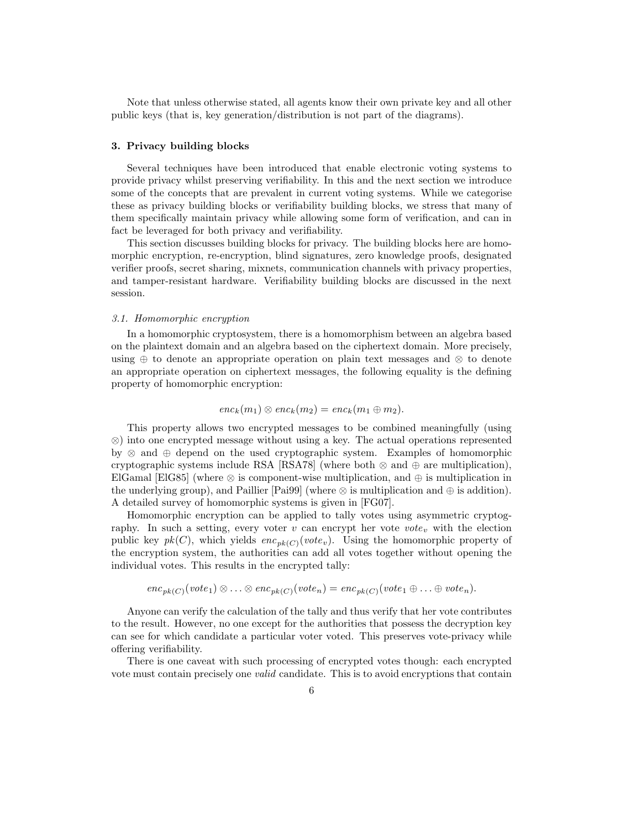Note that unless otherwise stated, all agents know their own private key and all other public keys (that is, key generation/distribution is not part of the diagrams).

# 3. Privacy building blocks

Several techniques have been introduced that enable electronic voting systems to provide privacy whilst preserving verifiability. In this and the next section we introduce some of the concepts that are prevalent in current voting systems. While we categorise these as privacy building blocks or verifiability building blocks, we stress that many of them specifically maintain privacy while allowing some form of verification, and can in fact be leveraged for both privacy and verifiability.

This section discusses building blocks for privacy. The building blocks here are homomorphic encryption, re-encryption, blind signatures, zero knowledge proofs, designated verifier proofs, secret sharing, mixnets, communication channels with privacy properties, and tamper-resistant hardware. Verifiability building blocks are discussed in the next session.

# 3.1. Homomorphic encryption

In a homomorphic cryptosystem, there is a homomorphism between an algebra based on the plaintext domain and an algebra based on the ciphertext domain. More precisely, using ⊕ to denote an appropriate operation on plain text messages and ⊗ to denote an appropriate operation on ciphertext messages, the following equality is the defining property of homomorphic encryption:

$$
enc_k(m_1) \otimes enc_k(m_2) = enc_k(m_1 \oplus m_2).
$$

This property allows two encrypted messages to be combined meaningfully (using ⊗) into one encrypted message without using a key. The actual operations represented by ⊗ and ⊕ depend on the used cryptographic system. Examples of homomorphic cryptographic systems include RSA [RSA78] (where both  $\otimes$  and  $\oplus$  are multiplication), ElGamal [ElG85] (where  $\otimes$  is component-wise multiplication, and  $\oplus$  is multiplication in the underlying group), and Paillier [Paigg] (where  $\otimes$  is multiplication and  $\oplus$  is addition). A detailed survey of homomorphic systems is given in [FG07].

Homomorphic encryption can be applied to tally votes using asymmetric cryptography. In such a setting, every voter  $v$  can encrypt her vote  $vote_v$  with the election public key  $pk(C)$ , which yields  $enc_{pk(C)}(vote_v)$ . Using the homomorphic property of the encryption system, the authorities can add all votes together without opening the individual votes. This results in the encrypted tally:

$$
enc_{pk(C)}(vote_1) \otimes \ldots \otimes enc_{pk(C)}(vote_n) = enc_{pk(C)}(vote_1 \oplus \ldots \oplus vote_n).
$$

Anyone can verify the calculation of the tally and thus verify that her vote contributes to the result. However, no one except for the authorities that possess the decryption key can see for which candidate a particular voter voted. This preserves vote-privacy while offering verifiability.

There is one caveat with such processing of encrypted votes though: each encrypted vote must contain precisely one valid candidate. This is to avoid encryptions that contain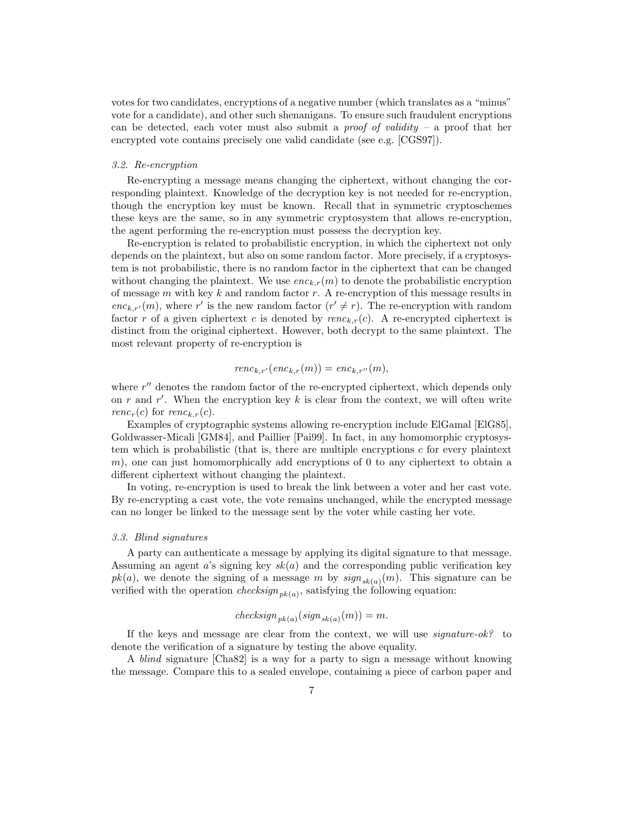votes for two candidates, encryptions of a negative number (which translates as a "minus" vote for a candidate), and other such shenanigans. To ensure such fraudulent encryptions can be detected, each voter must also submit a *proof of validity* – a proof that her encrypted vote contains precisely one valid candidate (see e.g. [CGS97]).

#### 3.2. Re-encryption

Re-encrypting a message means changing the ciphertext, without changing the corresponding plaintext. Knowledge of the decryption key is not needed for re-encryption, though the encryption key must be known. Recall that in symmetric cryptoschemes these keys are the same, so in any symmetric cryptosystem that allows re-encryption, the agent performing the re-encryption must possess the decryption key.

Re-encryption is related to probabilistic encryption, in which the ciphertext not only depends on the plaintext, but also on some random factor. More precisely, if a cryptosystem is not probabilistic, there is no random factor in the ciphertext that can be changed without changing the plaintext. We use  $enc_{k,r}(m)$  to denote the probabilistic encryption of message  $m$  with key  $k$  and random factor  $r$ . A re-encryption of this message results in enc<sub>k,r'</sub>(m), where r' is the new random factor  $(r' \neq r)$ . The re-encryption with random factor r of a given ciphertext c is denoted by  $renc_{k,r}(c)$ . A re-encrypted ciphertext is distinct from the original ciphertext. However, both decrypt to the same plaintext. The most relevant property of re-encryption is

$$
renc_{k,r'}(enc_{k,r}(m)) = enc_{k,r''}(m),
$$

where  $r''$  denotes the random factor of the re-encrypted ciphertext, which depends only on r and r'. When the encryption key k is clear from the context, we will often write renc<sub>r</sub>(c) for renc<sub>k,r</sub>(c).

Examples of cryptographic systems allowing re-encryption include ElGamal [ElG85], Goldwasser-Micali [GM84], and Paillier [Pai99]. In fact, in any homomorphic cryptosystem which is probabilistic (that is, there are multiple encryptions  $c$  for every plaintext  $m$ ), one can just homomorphically add encryptions of 0 to any ciphertext to obtain a different ciphertext without changing the plaintext.

In voting, re-encryption is used to break the link between a voter and her cast vote. By re-encrypting a cast vote, the vote remains unchanged, while the encrypted message can no longer be linked to the message sent by the voter while casting her vote.

#### 3.3. Blind signatures

A party can authenticate a message by applying its digital signature to that message. Assuming an agent a's signing key  $sk(a)$  and the corresponding public verification key  $pk(a)$ , we denote the signing of a message m by  $sign_{sk(a)}(m)$ . This signature can be verified with the operation *checksign*<sub>pk(a)</sub>, satisfying the following equation:

$$
checksign_{pk(a)}(sign_{sk(a)}(m)) = m.
$$

If the keys and message are clear from the context, we will use  $signature-ok$ ? to denote the verification of a signature by testing the above equality.

A blind signature [Cha82] is a way for a party to sign a message without knowing the message. Compare this to a sealed envelope, containing a piece of carbon paper and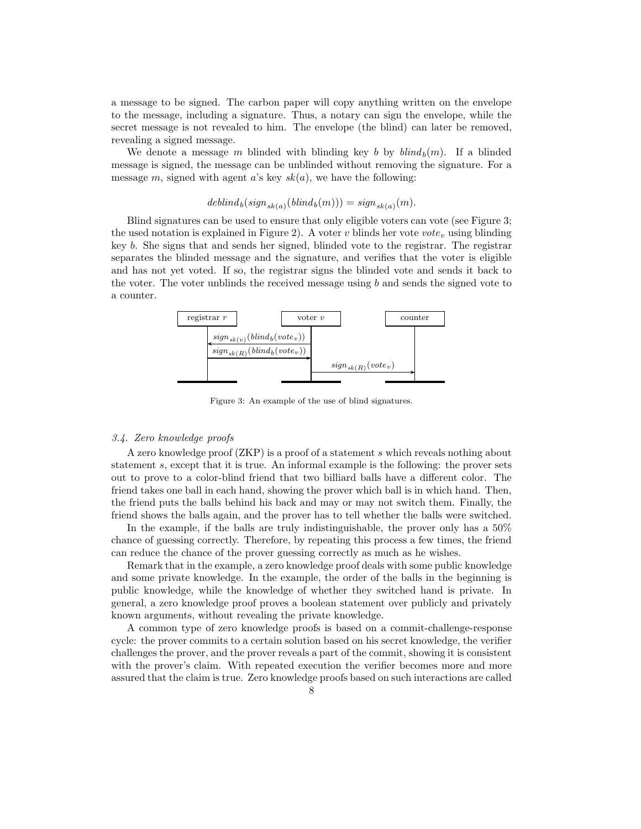a message to be signed. The carbon paper will copy anything written on the envelope to the message, including a signature. Thus, a notary can sign the envelope, while the secret message is not revealed to him. The envelope (the blind) can later be removed, revealing a signed message.

We denote a message m blinded with blinding key b by  $\text{blim}_{h}(m)$ . If a blinded message is signed, the message can be unblinded without removing the signature. For a message m, signed with agent a's key  $sk(a)$ , we have the following:

$$
deblind_b(sign_{sk(a)}(blind_b(m))) = sign_{sk(a)}(m).
$$

Blind signatures can be used to ensure that only eligible voters can vote (see Figure 3; the used notation is explained in Figure 2). A voter v blinds her vote vote<sub>v</sub> using blinding key b. She signs that and sends her signed, blinded vote to the registrar. The registrar separates the blinded message and the signature, and verifies that the voter is eligible and has not yet voted. If so, the registrar signs the blinded vote and sends it back to the voter. The voter unblinds the received message using  $b$  and sends the signed vote to a counter.



Figure 3: An example of the use of blind signatures.

#### 3.4. Zero knowledge proofs

A zero knowledge proof (ZKP) is a proof of a statement s which reveals nothing about statement s, except that it is true. An informal example is the following: the prover sets out to prove to a color-blind friend that two billiard balls have a different color. The friend takes one ball in each hand, showing the prover which ball is in which hand. Then, the friend puts the balls behind his back and may or may not switch them. Finally, the friend shows the balls again, and the prover has to tell whether the balls were switched.

In the example, if the balls are truly indistinguishable, the prover only has a 50% chance of guessing correctly. Therefore, by repeating this process a few times, the friend can reduce the chance of the prover guessing correctly as much as he wishes.

Remark that in the example, a zero knowledge proof deals with some public knowledge and some private knowledge. In the example, the order of the balls in the beginning is public knowledge, while the knowledge of whether they switched hand is private. In general, a zero knowledge proof proves a boolean statement over publicly and privately known arguments, without revealing the private knowledge.

A common type of zero knowledge proofs is based on a commit-challenge-response cycle: the prover commits to a certain solution based on his secret knowledge, the verifier challenges the prover, and the prover reveals a part of the commit, showing it is consistent with the prover's claim. With repeated execution the verifier becomes more and more assured that the claim is true. Zero knowledge proofs based on such interactions are called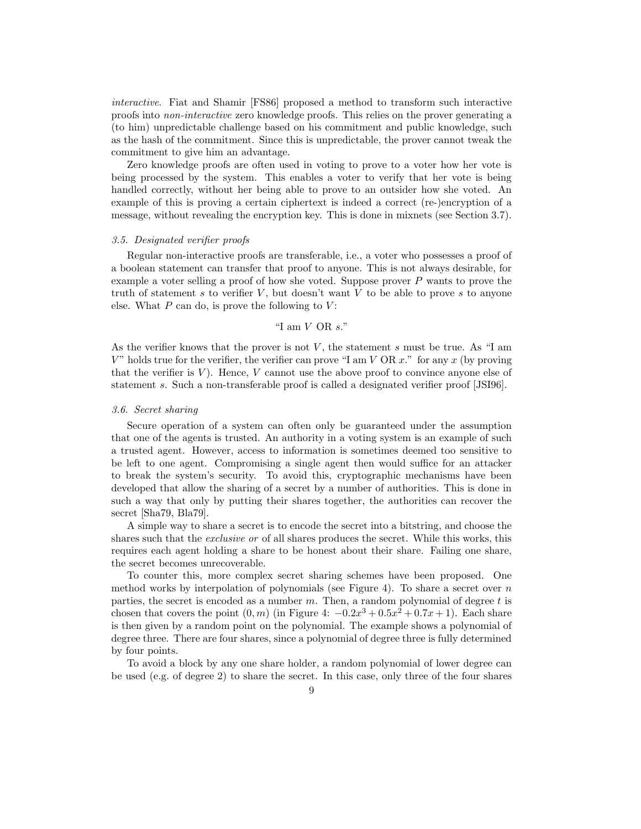interactive. Fiat and Shamir [FS86] proposed a method to transform such interactive proofs into non-interactive zero knowledge proofs. This relies on the prover generating a (to him) unpredictable challenge based on his commitment and public knowledge, such as the hash of the commitment. Since this is unpredictable, the prover cannot tweak the commitment to give him an advantage.

Zero knowledge proofs are often used in voting to prove to a voter how her vote is being processed by the system. This enables a voter to verify that her vote is being handled correctly, without her being able to prove to an outsider how she voted. An example of this is proving a certain ciphertext is indeed a correct (re-)encryption of a message, without revealing the encryption key. This is done in mixnets (see Section 3.7).

#### 3.5. Designated verifier proofs

Regular non-interactive proofs are transferable, i.e., a voter who possesses a proof of a boolean statement can transfer that proof to anyone. This is not always desirable, for example a voter selling a proof of how she voted. Suppose prover  $P$  wants to prove the truth of statement s to verifier  $V$ , but doesn't want  $V$  to be able to prove s to anyone else. What  $P$  can do, is prove the following to  $V$ :

# "I am V OR s."

As the verifier knows that the prover is not  $V$ , the statement s must be true. As "I am  $V$ " holds true for the verifier, the verifier can prove "I am  $V$  OR  $x$ ." for any  $x$  (by proving that the verifier is  $V$ ). Hence,  $V$  cannot use the above proof to convince anyone else of statement s. Such a non-transferable proof is called a designated verifier proof [JSI96].

#### 3.6. Secret sharing

Secure operation of a system can often only be guaranteed under the assumption that one of the agents is trusted. An authority in a voting system is an example of such a trusted agent. However, access to information is sometimes deemed too sensitive to be left to one agent. Compromising a single agent then would suffice for an attacker to break the system's security. To avoid this, cryptographic mechanisms have been developed that allow the sharing of a secret by a number of authorities. This is done in such a way that only by putting their shares together, the authorities can recover the secret [Sha79, Bla79].

A simple way to share a secret is to encode the secret into a bitstring, and choose the shares such that the *exclusive or* of all shares produces the secret. While this works, this requires each agent holding a share to be honest about their share. Failing one share, the secret becomes unrecoverable.

To counter this, more complex secret sharing schemes have been proposed. One method works by interpolation of polynomials (see Figure 4). To share a secret over  $n$ parties, the secret is encoded as a number  $m$ . Then, a random polynomial of degree  $t$  is chosen that covers the point  $(0, m)$  (in Figure 4:  $-0.2x^3 + 0.5x^2 + 0.7x + 1$ ). Each share is then given by a random point on the polynomial. The example shows a polynomial of degree three. There are four shares, since a polynomial of degree three is fully determined by four points.

To avoid a block by any one share holder, a random polynomial of lower degree can be used (e.g. of degree 2) to share the secret. In this case, only three of the four shares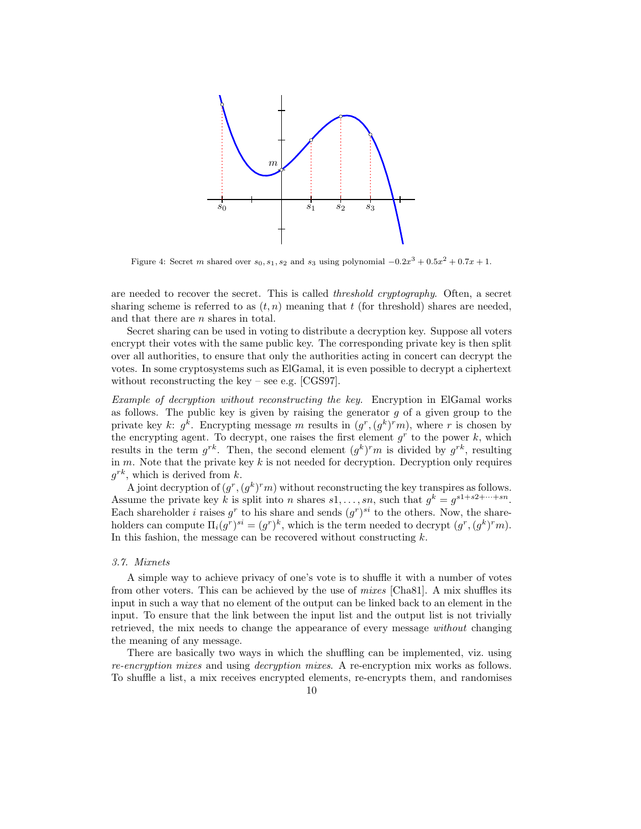

Figure 4: Secret m shared over  $s_0, s_1, s_2$  and  $s_3$  using polynomial  $-0.2x^3 + 0.5x^2 + 0.7x + 1$ .

are needed to recover the secret. This is called threshold cryptography. Often, a secret sharing scheme is referred to as  $(t, n)$  meaning that t (for threshold) shares are needed, and that there are n shares in total.

Secret sharing can be used in voting to distribute a decryption key. Suppose all voters encrypt their votes with the same public key. The corresponding private key is then split over all authorities, to ensure that only the authorities acting in concert can decrypt the votes. In some cryptosystems such as ElGamal, it is even possible to decrypt a ciphertext without reconstructing the key – see e.g. [CGS97].

Example of decryption without reconstructing the key. Encryption in ElGamal works as follows. The public key is given by raising the generator  $g$  of a given group to the private key k:  $g^k$ . Encrypting message m results in  $(g^r, (g^k)^r m)$ , where r is chosen by the encrypting agent. To decrypt, one raises the first element  $g<sup>r</sup>$  to the power k, which results in the term  $g^{rk}$ . Then, the second element  $(g^k)^r m$  is divided by  $g^{rk}$ , resulting in  $m$ . Note that the private key  $k$  is not needed for decryption. Decryption only requires  $g^{rk}$ , which is derived from k.

A joint decryption of  $(g^r, (g^k)^r m)$  without reconstructing the key transpires as follows. Assume the private key k is split into n shares  $s_1, \ldots, s_n$ , such that  $g^k = g^{s_1+s_2+\cdots+s_n}$ . Each shareholder *i* raises  $g^r$  to his share and sends  $(g^r)^{si}$  to the others. Now, the shareholders can compute  $\Pi_i(g^r)^{si} = (g^r)^k$ , which is the term needed to decrypt  $(g^r, (g^k)^r m)$ . In this fashion, the message can be recovered without constructing  $k$ .

## 3.7. Mixnets

A simple way to achieve privacy of one's vote is to shuffle it with a number of votes from other voters. This can be achieved by the use of mixes [Cha81]. A mix shuffles its input in such a way that no element of the output can be linked back to an element in the input. To ensure that the link between the input list and the output list is not trivially retrieved, the mix needs to change the appearance of every message without changing the meaning of any message.

There are basically two ways in which the shuffling can be implemented, viz. using re-encryption mixes and using decryption mixes. A re-encryption mix works as follows. To shuffle a list, a mix receives encrypted elements, re-encrypts them, and randomises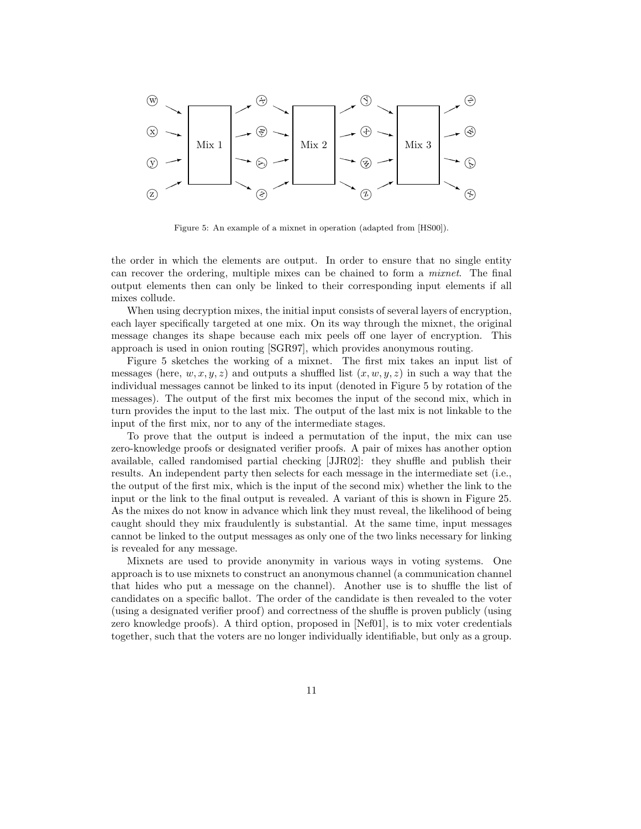

Figure 5: An example of a mixnet in operation (adapted from [HS00]).

the order in which the elements are output. In order to ensure that no single entity can recover the ordering, multiple mixes can be chained to form a mixnet. The final output elements then can only be linked to their corresponding input elements if all mixes collude.

When using decryption mixes, the initial input consists of several layers of encryption, each layer specifically targeted at one mix. On its way through the mixnet, the original message changes its shape because each mix peels off one layer of encryption. This approach is used in onion routing [SGR97], which provides anonymous routing.

Figure 5 sketches the working of a mixnet. The first mix takes an input list of messages (here,  $w, x, y, z$ ) and outputs a shuffled list  $(x, w, y, z)$  in such a way that the individual messages cannot be linked to its input (denoted in Figure 5 by rotation of the messages). The output of the first mix becomes the input of the second mix, which in turn provides the input to the last mix. The output of the last mix is not linkable to the input of the first mix, nor to any of the intermediate stages.

To prove that the output is indeed a permutation of the input, the mix can use zero-knowledge proofs or designated verifier proofs. A pair of mixes has another option available, called randomised partial checking [JJR02]: they shuffle and publish their results. An independent party then selects for each message in the intermediate set (i.e., the output of the first mix, which is the input of the second mix) whether the link to the input or the link to the final output is revealed. A variant of this is shown in Figure 25. As the mixes do not know in advance which link they must reveal, the likelihood of being caught should they mix fraudulently is substantial. At the same time, input messages cannot be linked to the output messages as only one of the two links necessary for linking is revealed for any message.

Mixnets are used to provide anonymity in various ways in voting systems. One approach is to use mixnets to construct an anonymous channel (a communication channel that hides who put a message on the channel). Another use is to shuffle the list of candidates on a specific ballot. The order of the candidate is then revealed to the voter (using a designated verifier proof) and correctness of the shuffle is proven publicly (using zero knowledge proofs). A third option, proposed in [Nef01], is to mix voter credentials together, such that the voters are no longer individually identifiable, but only as a group.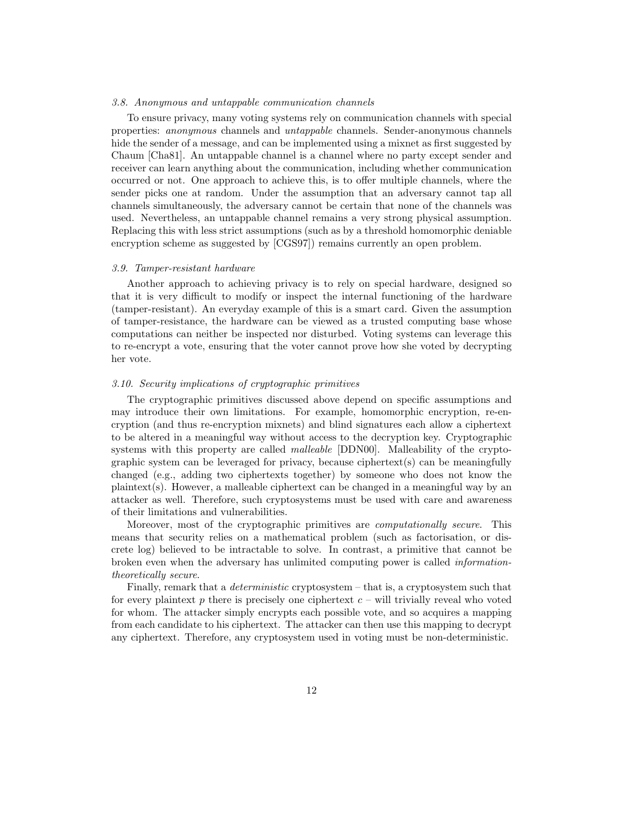## 3.8. Anonymous and untappable communication channels

To ensure privacy, many voting systems rely on communication channels with special properties: anonymous channels and untappable channels. Sender-anonymous channels hide the sender of a message, and can be implemented using a mixnet as first suggested by Chaum [Cha81]. An untappable channel is a channel where no party except sender and receiver can learn anything about the communication, including whether communication occurred or not. One approach to achieve this, is to offer multiple channels, where the sender picks one at random. Under the assumption that an adversary cannot tap all channels simultaneously, the adversary cannot be certain that none of the channels was used. Nevertheless, an untappable channel remains a very strong physical assumption. Replacing this with less strict assumptions (such as by a threshold homomorphic deniable encryption scheme as suggested by [CGS97]) remains currently an open problem.

#### 3.9. Tamper-resistant hardware

Another approach to achieving privacy is to rely on special hardware, designed so that it is very difficult to modify or inspect the internal functioning of the hardware (tamper-resistant). An everyday example of this is a smart card. Given the assumption of tamper-resistance, the hardware can be viewed as a trusted computing base whose computations can neither be inspected nor disturbed. Voting systems can leverage this to re-encrypt a vote, ensuring that the voter cannot prove how she voted by decrypting her vote.

#### 3.10. Security implications of cryptographic primitives

The cryptographic primitives discussed above depend on specific assumptions and may introduce their own limitations. For example, homomorphic encryption, re-encryption (and thus re-encryption mixnets) and blind signatures each allow a ciphertext to be altered in a meaningful way without access to the decryption key. Cryptographic systems with this property are called *malleable* [DDN00]. Malleability of the cryptographic system can be leveraged for privacy, because ciphertext(s) can be meaningfully changed (e.g., adding two ciphertexts together) by someone who does not know the plaintext(s). However, a malleable ciphertext can be changed in a meaningful way by an attacker as well. Therefore, such cryptosystems must be used with care and awareness of their limitations and vulnerabilities.

Moreover, most of the cryptographic primitives are *computationally secure*. This means that security relies on a mathematical problem (such as factorisation, or discrete log) believed to be intractable to solve. In contrast, a primitive that cannot be broken even when the adversary has unlimited computing power is called informationtheoretically secure.

Finally, remark that a *deterministic* cryptosystem – that is, a cryptosystem such that for every plaintext  $p$  there is precisely one ciphertext  $c -$  will trivially reveal who voted for whom. The attacker simply encrypts each possible vote, and so acquires a mapping from each candidate to his ciphertext. The attacker can then use this mapping to decrypt any ciphertext. Therefore, any cryptosystem used in voting must be non-deterministic.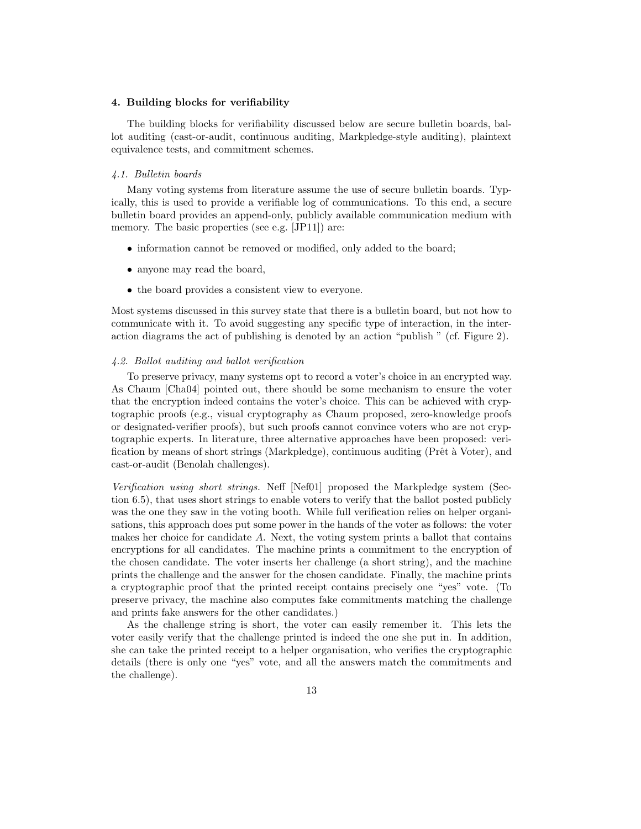## 4. Building blocks for verifiability

The building blocks for verifiability discussed below are secure bulletin boards, ballot auditing (cast-or-audit, continuous auditing, Markpledge-style auditing), plaintext equivalence tests, and commitment schemes.

# 4.1. Bulletin boards

Many voting systems from literature assume the use of secure bulletin boards. Typically, this is used to provide a verifiable log of communications. To this end, a secure bulletin board provides an append-only, publicly available communication medium with memory. The basic properties (see e.g. [JP11]) are:

- information cannot be removed or modified, only added to the board;
- anyone may read the board,
- the board provides a consistent view to everyone.

Most systems discussed in this survey state that there is a bulletin board, but not how to communicate with it. To avoid suggesting any specific type of interaction, in the interaction diagrams the act of publishing is denoted by an action "publish " (cf. Figure 2).

# 4.2. Ballot auditing and ballot verification

To preserve privacy, many systems opt to record a voter's choice in an encrypted way. As Chaum [Cha04] pointed out, there should be some mechanism to ensure the voter that the encryption indeed contains the voter's choice. This can be achieved with cryptographic proofs (e.g., visual cryptography as Chaum proposed, zero-knowledge proofs or designated-verifier proofs), but such proofs cannot convince voters who are not cryptographic experts. In literature, three alternative approaches have been proposed: verification by means of short strings (Markpledge), continuous auditing (Prêt à Voter), and cast-or-audit (Benolah challenges).

Verification using short strings. Neff [Nef01] proposed the Markpledge system (Section 6.5), that uses short strings to enable voters to verify that the ballot posted publicly was the one they saw in the voting booth. While full verification relies on helper organisations, this approach does put some power in the hands of the voter as follows: the voter makes her choice for candidate A. Next, the voting system prints a ballot that contains encryptions for all candidates. The machine prints a commitment to the encryption of the chosen candidate. The voter inserts her challenge (a short string), and the machine prints the challenge and the answer for the chosen candidate. Finally, the machine prints a cryptographic proof that the printed receipt contains precisely one "yes" vote. (To preserve privacy, the machine also computes fake commitments matching the challenge and prints fake answers for the other candidates.)

As the challenge string is short, the voter can easily remember it. This lets the voter easily verify that the challenge printed is indeed the one she put in. In addition, she can take the printed receipt to a helper organisation, who verifies the cryptographic details (there is only one "yes" vote, and all the answers match the commitments and the challenge).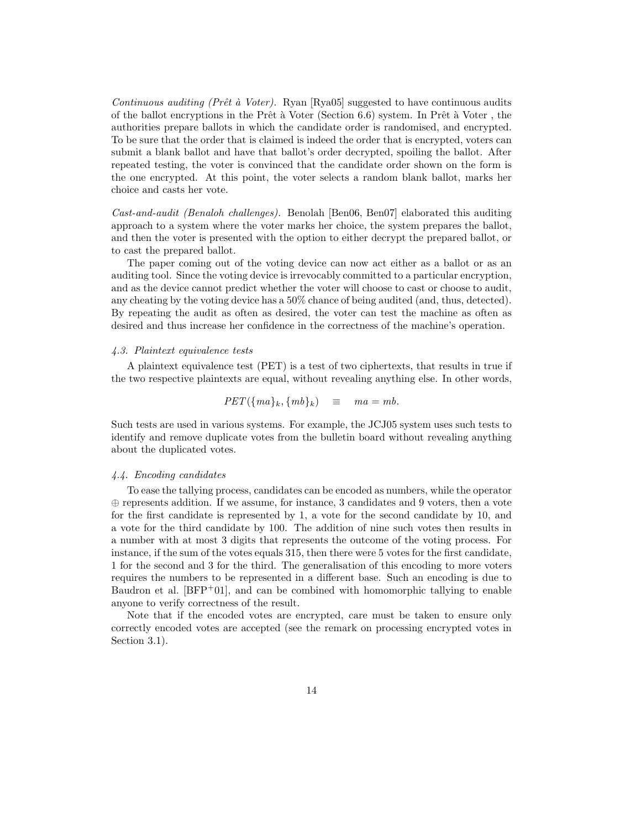Continuous auditing (Prêt à Voter). Ryan [Rya05] suggested to have continuous audits of the ballot encryptions in the Prêt à Voter (Section 6.6) system. In Prêt à Voter, the authorities prepare ballots in which the candidate order is randomised, and encrypted. To be sure that the order that is claimed is indeed the order that is encrypted, voters can submit a blank ballot and have that ballot's order decrypted, spoiling the ballot. After repeated testing, the voter is convinced that the candidate order shown on the form is the one encrypted. At this point, the voter selects a random blank ballot, marks her choice and casts her vote.

Cast-and-audit (Benaloh challenges). Benolah [Ben06, Ben07] elaborated this auditing approach to a system where the voter marks her choice, the system prepares the ballot, and then the voter is presented with the option to either decrypt the prepared ballot, or to cast the prepared ballot.

The paper coming out of the voting device can now act either as a ballot or as an auditing tool. Since the voting device is irrevocably committed to a particular encryption, and as the device cannot predict whether the voter will choose to cast or choose to audit, any cheating by the voting device has a 50% chance of being audited (and, thus, detected). By repeating the audit as often as desired, the voter can test the machine as often as desired and thus increase her confidence in the correctness of the machine's operation.

#### 4.3. Plaintext equivalence tests

A plaintext equivalence test (PET) is a test of two ciphertexts, that results in true if the two respective plaintexts are equal, without revealing anything else. In other words,

$$
PET({ma}_k, {mb}_k) \equiv ma = mb.
$$

Such tests are used in various systems. For example, the JCJ05 system uses such tests to identify and remove duplicate votes from the bulletin board without revealing anything about the duplicated votes.

#### 4.4. Encoding candidates

To ease the tallying process, candidates can be encoded as numbers, while the operator ⊕ represents addition. If we assume, for instance, 3 candidates and 9 voters, then a vote for the first candidate is represented by 1, a vote for the second candidate by 10, and a vote for the third candidate by 100. The addition of nine such votes then results in a number with at most 3 digits that represents the outcome of the voting process. For instance, if the sum of the votes equals 315, then there were 5 votes for the first candidate, 1 for the second and 3 for the third. The generalisation of this encoding to more voters requires the numbers to be represented in a different base. Such an encoding is due to Baudron et al.  $[BFP<sup>+</sup>01]$ , and can be combined with homomorphic tallying to enable anyone to verify correctness of the result.

Note that if the encoded votes are encrypted, care must be taken to ensure only correctly encoded votes are accepted (see the remark on processing encrypted votes in Section 3.1).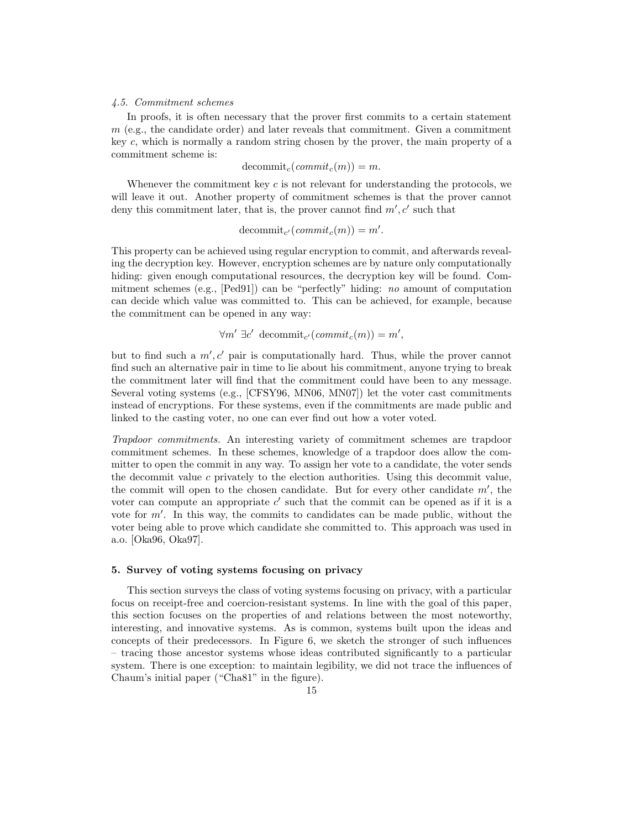# 4.5. Commitment schemes

In proofs, it is often necessary that the prover first commits to a certain statement  $m$  (e.g., the candidate order) and later reveals that commitment. Given a commitment key  $c$ , which is normally a random string chosen by the prover, the main property of a commitment scheme is:

 $decommit_c(commit_c(m)) = m.$ 

Whenever the commitment key  $c$  is not relevant for understanding the protocols, we will leave it out. Another property of commitment schemes is that the prover cannot deny this commitment later, that is, the prover cannot find  $m'$ , c' such that

decommit<sub>c'</sub>  $(commit_c(m)) = m'$ .

This property can be achieved using regular encryption to commit, and afterwards revealing the decryption key. However, encryption schemes are by nature only computationally hiding: given enough computational resources, the decryption key will be found. Commitment schemes (e.g., [Ped91]) can be "perfectly" hiding: no amount of computation can decide which value was committed to. This can be achieved, for example, because the commitment can be opened in any way:

 $\forall m' \exists c' \text{ decommit}_{c'}(commit_c(m)) = m',$ 

but to find such a  $m'$ ,  $c'$  pair is computationally hard. Thus, while the prover cannot find such an alternative pair in time to lie about his commitment, anyone trying to break the commitment later will find that the commitment could have been to any message. Several voting systems (e.g., [CFSY96, MN06, MN07]) let the voter cast commitments instead of encryptions. For these systems, even if the commitments are made public and linked to the casting voter, no one can ever find out how a voter voted.

Trapdoor commitments. An interesting variety of commitment schemes are trapdoor commitment schemes. In these schemes, knowledge of a trapdoor does allow the committer to open the commit in any way. To assign her vote to a candidate, the voter sends the decommit value  $c$  privately to the election authorities. Using this decommit value, the commit will open to the chosen candidate. But for every other candidate  $m'$ , the voter can compute an appropriate  $c'$  such that the commit can be opened as if it is a vote for  $m'$ . In this way, the commits to candidates can be made public, without the voter being able to prove which candidate she committed to. This approach was used in a.o. [Oka96, Oka97].

# 5. Survey of voting systems focusing on privacy

This section surveys the class of voting systems focusing on privacy, with a particular focus on receipt-free and coercion-resistant systems. In line with the goal of this paper, this section focuses on the properties of and relations between the most noteworthy, interesting, and innovative systems. As is common, systems built upon the ideas and concepts of their predecessors. In Figure 6, we sketch the stronger of such influences – tracing those ancestor systems whose ideas contributed significantly to a particular system. There is one exception: to maintain legibility, we did not trace the influences of Chaum's initial paper ("Cha81" in the figure).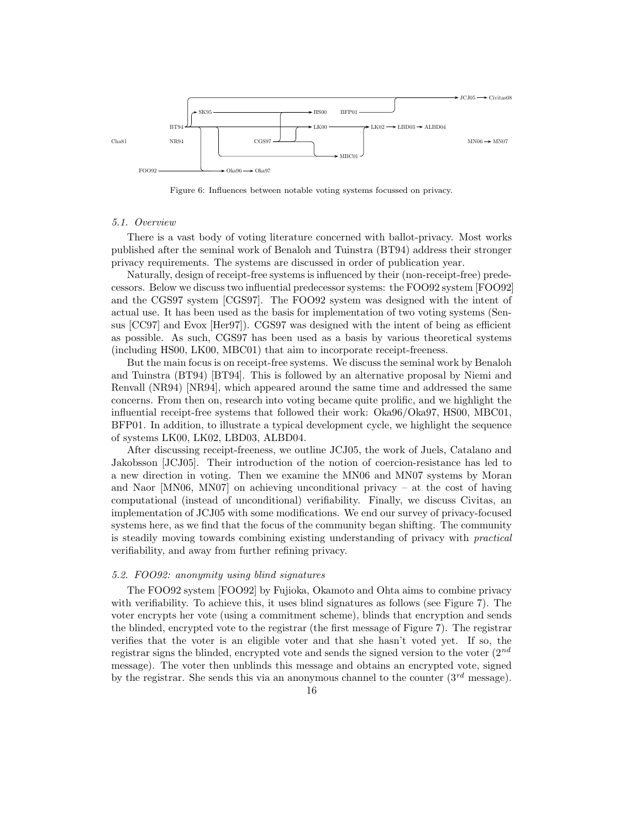

Figure 6: Influences between notable voting systems focussed on privacy.

#### 5.1. Overview

There is a vast body of voting literature concerned with ballot-privacy. Most works published after the seminal work of Benaloh and Tuinstra (BT94) address their stronger privacy requirements. The systems are discussed in order of publication year.

Naturally, design of receipt-free systems is influenced by their (non-receipt-free) predecessors. Below we discuss two influential predecessor systems: the FOO92 system [FOO92] and the CGS97 system [CGS97]. The FOO92 system was designed with the intent of actual use. It has been used as the basis for implementation of two voting systems (Sensus [CC97] and Evox [Her97]). CGS97 was designed with the intent of being as efficient as possible. As such, CGS97 has been used as a basis by various theoretical systems (including HS00, LK00, MBC01) that aim to incorporate receipt-freeness.

But the main focus is on receipt-free systems. We discuss the seminal work by Benaloh and Tuinstra (BT94) [BT94]. This is followed by an alternative proposal by Niemi and Renvall (NR94) [NR94], which appeared around the same time and addressed the same concerns. From then on, research into voting became quite prolific, and we highlight the influential receipt-free systems that followed their work: Oka96/Oka97, HS00, MBC01, BFP01. In addition, to illustrate a typical development cycle, we highlight the sequence of systems LK00, LK02, LBD03, ALBD04.

After discussing receipt-freeness, we outline JCJ05, the work of Juels, Catalano and Jakobsson [JCJ05]. Their introduction of the notion of coercion-resistance has led to a new direction in voting. Then we examine the MN06 and MN07 systems by Moran and Naor [MN06, MN07] on achieving unconditional privacy – at the cost of having computational (instead of unconditional) verifiability. Finally, we discuss Civitas, an implementation of JCJ05 with some modifications. We end our survey of privacy-focused systems here, as we find that the focus of the community began shifting. The community is steadily moving towards combining existing understanding of privacy with practical verifiability, and away from further refining privacy.

## 5.2. FOO92: anonymity using blind signatures

The FOO92 system [FOO92] by Fujioka, Okamoto and Ohta aims to combine privacy with verifiability. To achieve this, it uses blind signatures as follows (see Figure 7). The voter encrypts her vote (using a commitment scheme), blinds that encryption and sends the blinded, encrypted vote to the registrar (the first message of Figure 7). The registrar verifies that the voter is an eligible voter and that she hasn't voted yet. If so, the registrar signs the blinded, encrypted vote and sends the signed version to the voter  $(2^{nd}$ message). The voter then unblinds this message and obtains an encrypted vote, signed by the registrar. She sends this via an anonymous channel to the counter  $(3<sup>rd</sup>$  message).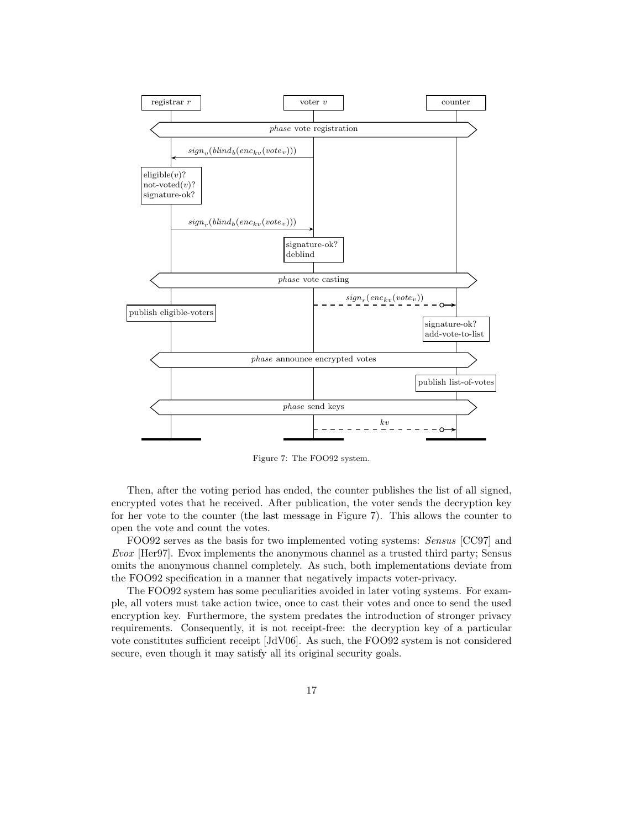

Figure 7: The FOO92 system.

Then, after the voting period has ended, the counter publishes the list of all signed, encrypted votes that he received. After publication, the voter sends the decryption key for her vote to the counter (the last message in Figure 7). This allows the counter to open the vote and count the votes.

FOO92 serves as the basis for two implemented voting systems: Sensus [CC97] and Evox [Her97]. Evox implements the anonymous channel as a trusted third party; Sensus omits the anonymous channel completely. As such, both implementations deviate from the FOO92 specification in a manner that negatively impacts voter-privacy.

The FOO92 system has some peculiarities avoided in later voting systems. For example, all voters must take action twice, once to cast their votes and once to send the used encryption key. Furthermore, the system predates the introduction of stronger privacy requirements. Consequently, it is not receipt-free: the decryption key of a particular vote constitutes sufficient receipt [JdV06]. As such, the FOO92 system is not considered secure, even though it may satisfy all its original security goals.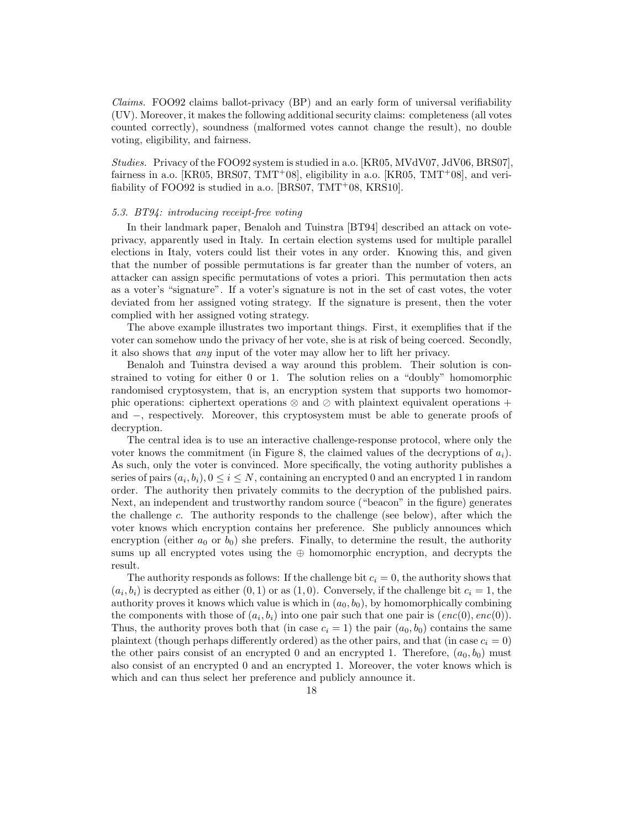Claims. FOO92 claims ballot-privacy (BP) and an early form of universal verifiability (UV). Moreover, it makes the following additional security claims: completeness (all votes counted correctly), soundness (malformed votes cannot change the result), no double voting, eligibility, and fairness.

Studies. Privacy of the FOO92 system is studied in a.o. [KR05, MVdV07, JdV06, BRS07], fairness in a.o. [KR05, BRS07, TMT+08], eligibility in a.o. [KR05, TMT+08], and verifiability of FOO92 is studied in a.o. [BRS07, TMT+08, KRS10].

# 5.3. BT94: introducing receipt-free voting

In their landmark paper, Benaloh and Tuinstra [BT94] described an attack on voteprivacy, apparently used in Italy. In certain election systems used for multiple parallel elections in Italy, voters could list their votes in any order. Knowing this, and given that the number of possible permutations is far greater than the number of voters, an attacker can assign specific permutations of votes a priori. This permutation then acts as a voter's "signature". If a voter's signature is not in the set of cast votes, the voter deviated from her assigned voting strategy. If the signature is present, then the voter complied with her assigned voting strategy.

The above example illustrates two important things. First, it exemplifies that if the voter can somehow undo the privacy of her vote, she is at risk of being coerced. Secondly, it also shows that any input of the voter may allow her to lift her privacy.

Benaloh and Tuinstra devised a way around this problem. Their solution is constrained to voting for either 0 or 1. The solution relies on a "doubly" homomorphic randomised cryptosystem, that is, an encryption system that supports two homomorphic operations: ciphertext operations ⊗ and ⊘ with plaintext equivalent operations + and −, respectively. Moreover, this cryptosystem must be able to generate proofs of decryption.

The central idea is to use an interactive challenge-response protocol, where only the voter knows the commitment (in Figure 8, the claimed values of the decryptions of  $a_i$ ). As such, only the voter is convinced. More specifically, the voting authority publishes a series of pairs  $(a_i, b_i)$ ,  $0 \le i \le N$ , containing an encrypted 0 and an encrypted 1 in random order. The authority then privately commits to the decryption of the published pairs. Next, an independent and trustworthy random source ("beacon" in the figure) generates the challenge  $c$ . The authority responds to the challenge (see below), after which the voter knows which encryption contains her preference. She publicly announces which encryption (either  $a_0$  or  $b_0$ ) she prefers. Finally, to determine the result, the authority sums up all encrypted votes using the  $oplus$  homomorphic encryption, and decrypts the result.

The authority responds as follows: If the challenge bit  $c_i = 0$ , the authority shows that  $(a_i, b_i)$  is decrypted as either  $(0, 1)$  or as  $(1, 0)$ . Conversely, if the challenge bit  $c_i = 1$ , the authority proves it knows which value is which in  $(a_0, b_0)$ , by homomorphically combining the components with those of  $(a_i, b_i)$  into one pair such that one pair is  $(enc(0), enc(0)).$ Thus, the authority proves both that (in case  $c_i = 1$ ) the pair  $(a_0, b_0)$  contains the same plaintext (though perhaps differently ordered) as the other pairs, and that (in case  $c_i = 0$ ) the other pairs consist of an encrypted 0 and an encrypted 1. Therefore,  $(a_0, b_0)$  must also consist of an encrypted 0 and an encrypted 1. Moreover, the voter knows which is which and can thus select her preference and publicly announce it.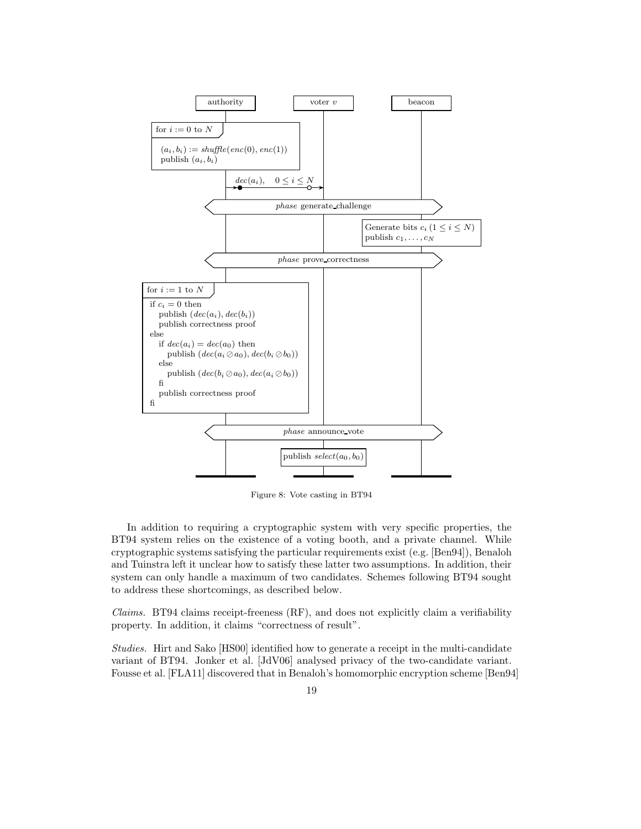

Figure 8: Vote casting in BT94

In addition to requiring a cryptographic system with very specific properties, the BT94 system relies on the existence of a voting booth, and a private channel. While cryptographic systems satisfying the particular requirements exist (e.g. [Ben94]), Benaloh and Tuinstra left it unclear how to satisfy these latter two assumptions. In addition, their system can only handle a maximum of two candidates. Schemes following BT94 sought to address these shortcomings, as described below.

*Claims.* BT94 claims receipt-freeness  $(RF)$ , and does not explicitly claim a verifiability property. In addition, it claims "correctness of result".

Studies. Hirt and Sako [HS00] identified how to generate a receipt in the multi-candidate variant of BT94. Jonker et al. [JdV06] analysed privacy of the two-candidate variant. Fousse et al. [FLA11] discovered that in Benaloh's homomorphic encryption scheme [Ben94]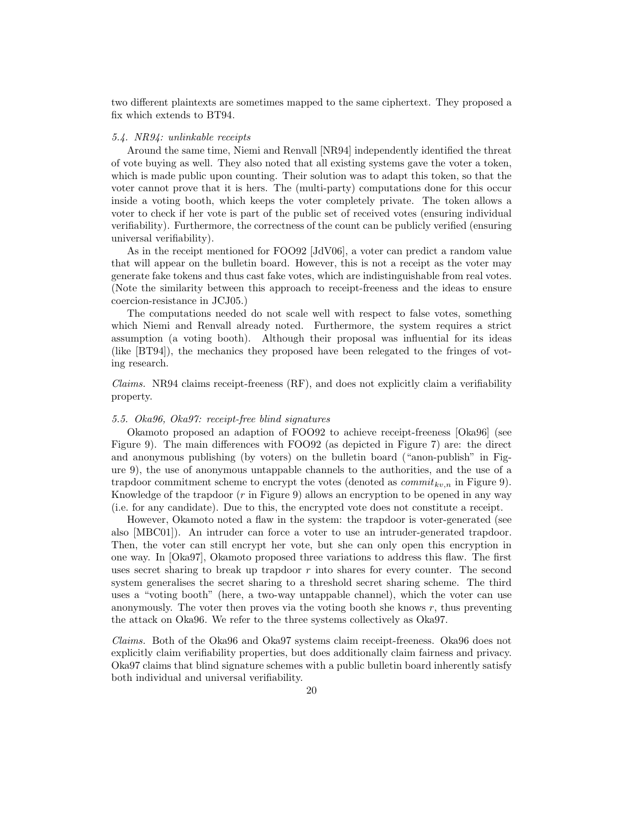two different plaintexts are sometimes mapped to the same ciphertext. They proposed a fix which extends to BT94.

#### 5.4. NR94: unlinkable receipts

Around the same time, Niemi and Renvall [NR94] independently identified the threat of vote buying as well. They also noted that all existing systems gave the voter a token, which is made public upon counting. Their solution was to adapt this token, so that the voter cannot prove that it is hers. The (multi-party) computations done for this occur inside a voting booth, which keeps the voter completely private. The token allows a voter to check if her vote is part of the public set of received votes (ensuring individual verifiability). Furthermore, the correctness of the count can be publicly verified (ensuring universal verifiability).

As in the receipt mentioned for FOO92 [JdV06], a voter can predict a random value that will appear on the bulletin board. However, this is not a receipt as the voter may generate fake tokens and thus cast fake votes, which are indistinguishable from real votes. (Note the similarity between this approach to receipt-freeness and the ideas to ensure coercion-resistance in JCJ05.)

The computations needed do not scale well with respect to false votes, something which Niemi and Renvall already noted. Furthermore, the system requires a strict assumption (a voting booth). Although their proposal was influential for its ideas (like [BT94]), the mechanics they proposed have been relegated to the fringes of voting research.

 $Clains.$  NR94 claims receipt-freeness  $(RF)$ , and does not explicitly claim a verifiability property.

## 5.5. Oka96, Oka97: receipt-free blind signatures

Okamoto proposed an adaption of FOO92 to achieve receipt-freeness [Oka96] (see Figure 9). The main differences with FOO92 (as depicted in Figure 7) are: the direct and anonymous publishing (by voters) on the bulletin board ("anon-publish" in Figure 9), the use of anonymous untappable channels to the authorities, and the use of a trapdoor commitment scheme to encrypt the votes (denoted as  $commit_{kv,n}$  in Figure 9). Knowledge of the trapdoor  $(r$  in Figure 9) allows an encryption to be opened in any way (i.e. for any candidate). Due to this, the encrypted vote does not constitute a receipt.

However, Okamoto noted a flaw in the system: the trapdoor is voter-generated (see also [MBC01]). An intruder can force a voter to use an intruder-generated trapdoor. Then, the voter can still encrypt her vote, but she can only open this encryption in one way. In [Oka97], Okamoto proposed three variations to address this flaw. The first uses secret sharing to break up trapdoor  $r$  into shares for every counter. The second system generalises the secret sharing to a threshold secret sharing scheme. The third uses a "voting booth" (here, a two-way untappable channel), which the voter can use anonymously. The voter then proves via the voting booth she knows  $r$ , thus preventing the attack on Oka96. We refer to the three systems collectively as Oka97.

Claims. Both of the Oka96 and Oka97 systems claim receipt-freeness. Oka96 does not explicitly claim verifiability properties, but does additionally claim fairness and privacy. Oka97 claims that blind signature schemes with a public bulletin board inherently satisfy both individual and universal verifiability.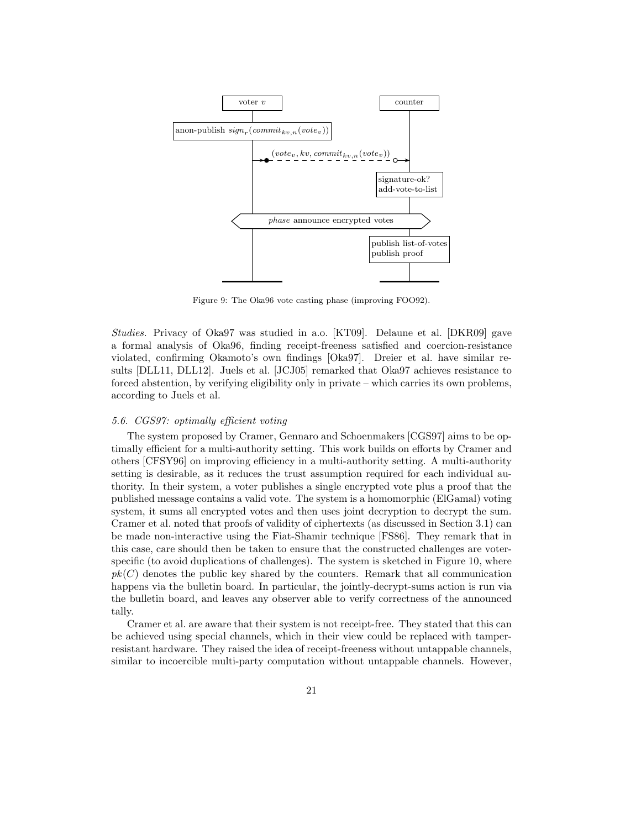

Figure 9: The Oka96 vote casting phase (improving FOO92).

Studies. Privacy of Oka97 was studied in a.o. [KT09]. Delaune et al. [DKR09] gave a formal analysis of Oka96, finding receipt-freeness satisfied and coercion-resistance violated, confirming Okamoto's own findings [Oka97]. Dreier et al. have similar results [DLL11, DLL12]. Juels et al. [JCJ05] remarked that Oka97 achieves resistance to forced abstention, by verifying eligibility only in private – which carries its own problems, according to Juels et al.

## 5.6. CGS97: optimally efficient voting

The system proposed by Cramer, Gennaro and Schoenmakers [CGS97] aims to be optimally efficient for a multi-authority setting. This work builds on efforts by Cramer and others [CFSY96] on improving efficiency in a multi-authority setting. A multi-authority setting is desirable, as it reduces the trust assumption required for each individual authority. In their system, a voter publishes a single encrypted vote plus a proof that the published message contains a valid vote. The system is a homomorphic (ElGamal) voting system, it sums all encrypted votes and then uses joint decryption to decrypt the sum. Cramer et al. noted that proofs of validity of ciphertexts (as discussed in Section 3.1) can be made non-interactive using the Fiat-Shamir technique [FS86]. They remark that in this case, care should then be taken to ensure that the constructed challenges are voterspecific (to avoid duplications of challenges). The system is sketched in Figure 10, where  $pk(C)$  denotes the public key shared by the counters. Remark that all communication happens via the bulletin board. In particular, the jointly-decrypt-sums action is run via the bulletin board, and leaves any observer able to verify correctness of the announced tally.

Cramer et al. are aware that their system is not receipt-free. They stated that this can be achieved using special channels, which in their view could be replaced with tamperresistant hardware. They raised the idea of receipt-freeness without untappable channels, similar to incoercible multi-party computation without untappable channels. However,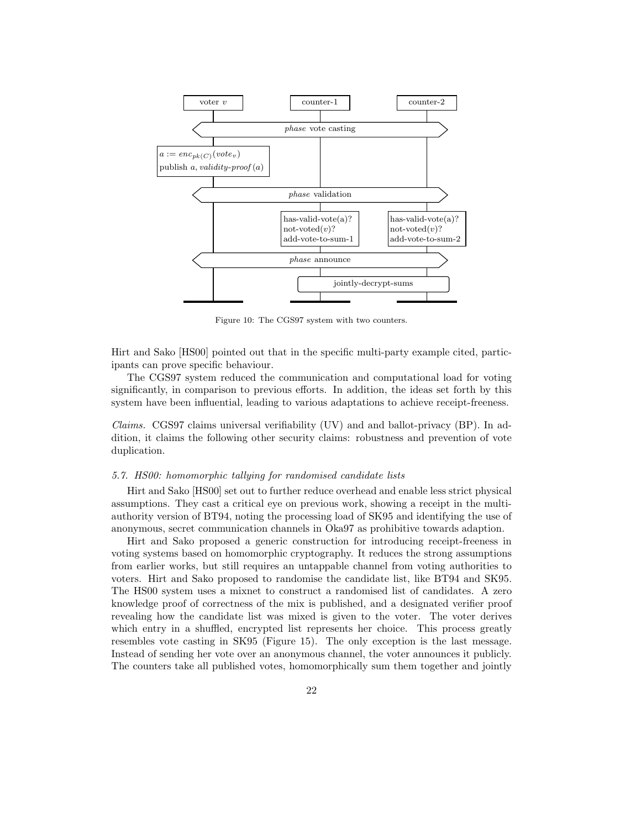

Figure 10: The CGS97 system with two counters.

Hirt and Sako [HS00] pointed out that in the specific multi-party example cited, participants can prove specific behaviour.

The CGS97 system reduced the communication and computational load for voting significantly, in comparison to previous efforts. In addition, the ideas set forth by this system have been influential, leading to various adaptations to achieve receipt-freeness.

*Claims.* CGS97 claims universal verifiability  $(UV)$  and and ballot-privacy  $(BP)$ . In addition, it claims the following other security claims: robustness and prevention of vote duplication.

## 5.7. HS00: homomorphic tallying for randomised candidate lists

Hirt and Sako [HS00] set out to further reduce overhead and enable less strict physical assumptions. They cast a critical eye on previous work, showing a receipt in the multiauthority version of BT94, noting the processing load of SK95 and identifying the use of anonymous, secret communication channels in Oka97 as prohibitive towards adaption.

Hirt and Sako proposed a generic construction for introducing receipt-freeness in voting systems based on homomorphic cryptography. It reduces the strong assumptions from earlier works, but still requires an untappable channel from voting authorities to voters. Hirt and Sako proposed to randomise the candidate list, like BT94 and SK95. The HS00 system uses a mixnet to construct a randomised list of candidates. A zero knowledge proof of correctness of the mix is published, and a designated verifier proof revealing how the candidate list was mixed is given to the voter. The voter derives which entry in a shuffled, encrypted list represents her choice. This process greatly resembles vote casting in SK95 (Figure 15). The only exception is the last message. Instead of sending her vote over an anonymous channel, the voter announces it publicly. The counters take all published votes, homomorphically sum them together and jointly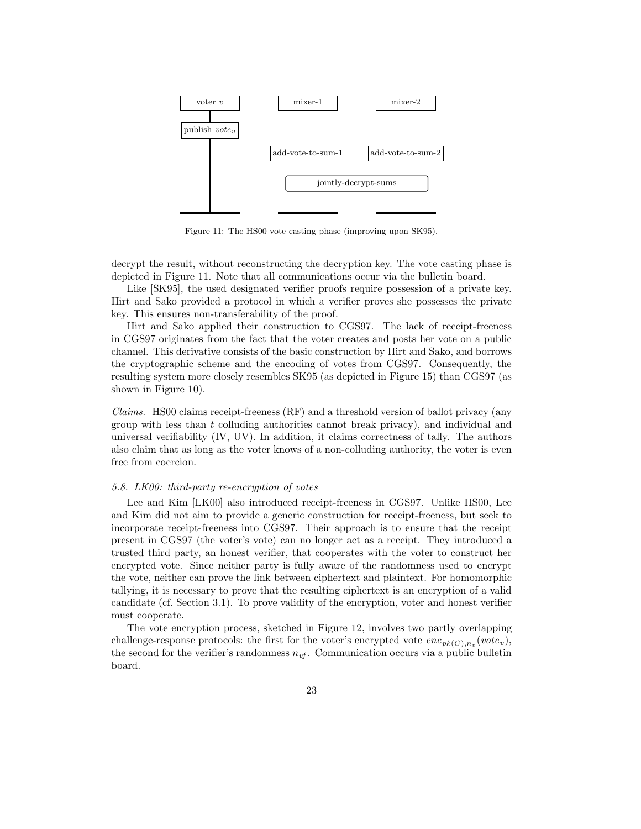

Figure 11: The HS00 vote casting phase (improving upon SK95).

decrypt the result, without reconstructing the decryption key. The vote casting phase is depicted in Figure 11. Note that all communications occur via the bulletin board.

Like [SK95], the used designated verifier proofs require possession of a private key. Hirt and Sako provided a protocol in which a verifier proves she possesses the private key. This ensures non-transferability of the proof.

Hirt and Sako applied their construction to CGS97. The lack of receipt-freeness in CGS97 originates from the fact that the voter creates and posts her vote on a public channel. This derivative consists of the basic construction by Hirt and Sako, and borrows the cryptographic scheme and the encoding of votes from CGS97. Consequently, the resulting system more closely resembles SK95 (as depicted in Figure 15) than CGS97 (as shown in Figure 10).

*Claims.* HS00 claims receipt-freeness  $(RF)$  and a threshold version of ballot privacy (any group with less than  $t$  colluding authorities cannot break privacy), and individual and universal verifiability (IV, UV). In addition, it claims correctness of tally. The authors also claim that as long as the voter knows of a non-colluding authority, the voter is even free from coercion.

## 5.8. LK00: third-party re-encryption of votes

Lee and Kim [LK00] also introduced receipt-freeness in CGS97. Unlike HS00, Lee and Kim did not aim to provide a generic construction for receipt-freeness, but seek to incorporate receipt-freeness into CGS97. Their approach is to ensure that the receipt present in CGS97 (the voter's vote) can no longer act as a receipt. They introduced a trusted third party, an honest verifier, that cooperates with the voter to construct her encrypted vote. Since neither party is fully aware of the randomness used to encrypt the vote, neither can prove the link between ciphertext and plaintext. For homomorphic tallying, it is necessary to prove that the resulting ciphertext is an encryption of a valid candidate (cf. Section 3.1). To prove validity of the encryption, voter and honest verifier must cooperate.

The vote encryption process, sketched in Figure 12, involves two partly overlapping challenge-response protocols: the first for the voter's encrypted vote  $enc_{pk(C),n_v}(vote_v)$ , the second for the verifier's randomness  $n_{vt}$ . Communication occurs via a public bulletin board.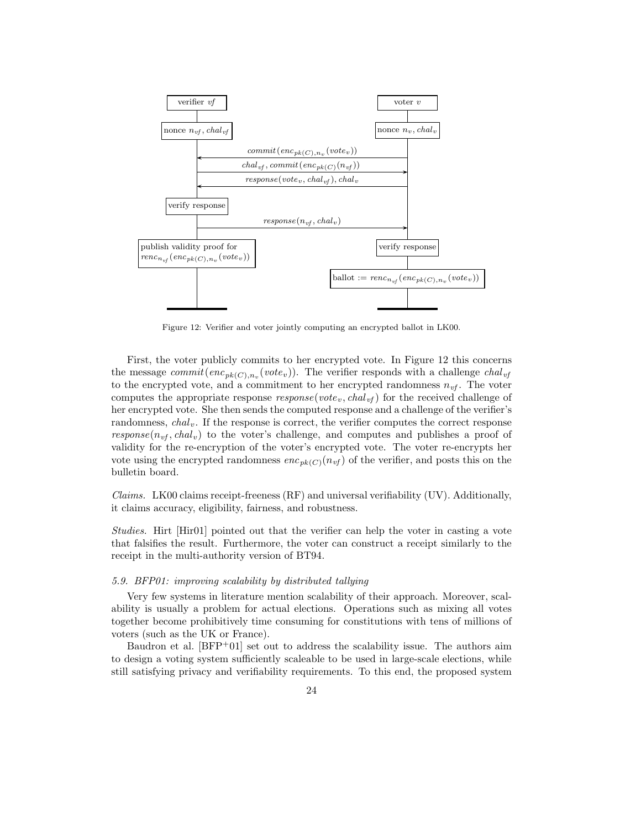

Figure 12: Verifier and voter jointly computing an encrypted ballot in LK00.

First, the voter publicly commits to her encrypted vote. In Figure 12 this concerns the message  $commit(enc_{pk(C),n_v}(vote_v))$ . The verifier responds with a challenge  $chal_{vf}$ to the encrypted vote, and a commitment to her encrypted randomness  $n_{\nu f}$ . The voter computes the appropriate response  $response(vote_v, chal_{vf})$  for the received challenge of her encrypted vote. She then sends the computed response and a challenge of the verifier's randomness,  $chal<sub>v</sub>$ . If the response is correct, the verifier computes the correct response response( $n_{vt}$ , chal<sub>v</sub>) to the voter's challenge, and computes and publishes a proof of validity for the re-encryption of the voter's encrypted vote. The voter re-encrypts her vote using the encrypted randomness  $enc_{pk(C)}(n_{vf})$  of the verifier, and posts this on the bulletin board.

Claims. LK00 claims receipt-freeness (RF) and universal verifiability (UV). Additionally, it claims accuracy, eligibility, fairness, and robustness.

Studies. Hirt [Hir01] pointed out that the verifier can help the voter in casting a vote that falsifies the result. Furthermore, the voter can construct a receipt similarly to the receipt in the multi-authority version of BT94.

# 5.9. BFP01: improving scalability by distributed tallying

Very few systems in literature mention scalability of their approach. Moreover, scalability is usually a problem for actual elections. Operations such as mixing all votes together become prohibitively time consuming for constitutions with tens of millions of voters (such as the UK or France).

Baudron et al.  $[BFP^+01]$  set out to address the scalability issue. The authors aim to design a voting system sufficiently scaleable to be used in large-scale elections, while still satisfying privacy and verifiability requirements. To this end, the proposed system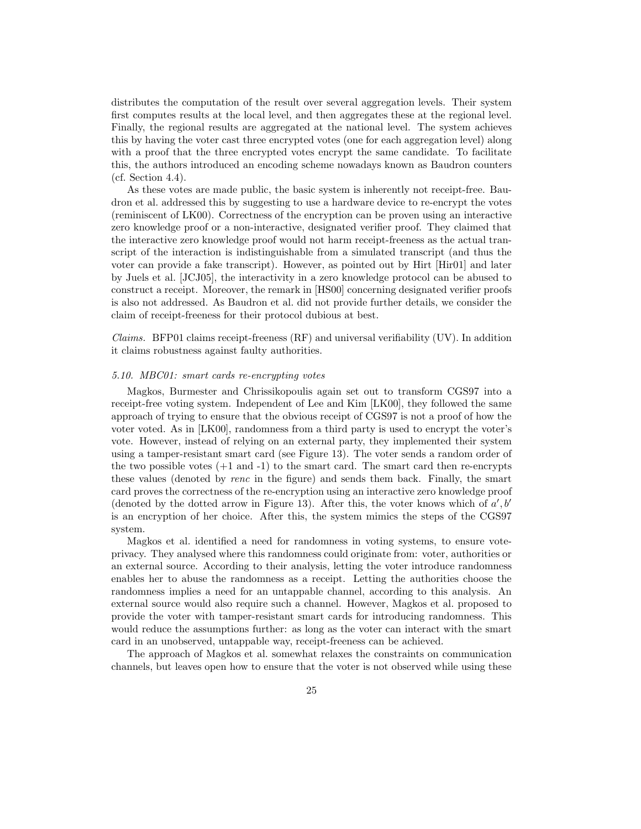distributes the computation of the result over several aggregation levels. Their system first computes results at the local level, and then aggregates these at the regional level. Finally, the regional results are aggregated at the national level. The system achieves this by having the voter cast three encrypted votes (one for each aggregation level) along with a proof that the three encrypted votes encrypt the same candidate. To facilitate this, the authors introduced an encoding scheme nowadays known as Baudron counters (cf. Section 4.4).

As these votes are made public, the basic system is inherently not receipt-free. Baudron et al. addressed this by suggesting to use a hardware device to re-encrypt the votes (reminiscent of LK00). Correctness of the encryption can be proven using an interactive zero knowledge proof or a non-interactive, designated verifier proof. They claimed that the interactive zero knowledge proof would not harm receipt-freeness as the actual transcript of the interaction is indistinguishable from a simulated transcript (and thus the voter can provide a fake transcript). However, as pointed out by Hirt [Hir01] and later by Juels et al. [JCJ05], the interactivity in a zero knowledge protocol can be abused to construct a receipt. Moreover, the remark in [HS00] concerning designated verifier proofs is also not addressed. As Baudron et al. did not provide further details, we consider the claim of receipt-freeness for their protocol dubious at best.

*Claims.* BFP01 claims receipt-freeness  $(RF)$  and universal verifiability  $(UV)$ . In addition it claims robustness against faulty authorities.

#### 5.10. MBC01: smart cards re-encrypting votes

Magkos, Burmester and Chrissikopoulis again set out to transform CGS97 into a receipt-free voting system. Independent of Lee and Kim [LK00], they followed the same approach of trying to ensure that the obvious receipt of CGS97 is not a proof of how the voter voted. As in [LK00], randomness from a third party is used to encrypt the voter's vote. However, instead of relying on an external party, they implemented their system using a tamper-resistant smart card (see Figure 13). The voter sends a random order of the two possible votes  $(+1 \text{ and } -1)$  to the smart card. The smart card then re-encrypts these values (denoted by renc in the figure) and sends them back. Finally, the smart card proves the correctness of the re-encryption using an interactive zero knowledge proof (denoted by the dotted arrow in Figure 13). After this, the voter knows which of  $a', b'$ is an encryption of her choice. After this, the system mimics the steps of the CGS97 system.

Magkos et al. identified a need for randomness in voting systems, to ensure voteprivacy. They analysed where this randomness could originate from: voter, authorities or an external source. According to their analysis, letting the voter introduce randomness enables her to abuse the randomness as a receipt. Letting the authorities choose the randomness implies a need for an untappable channel, according to this analysis. An external source would also require such a channel. However, Magkos et al. proposed to provide the voter with tamper-resistant smart cards for introducing randomness. This would reduce the assumptions further: as long as the voter can interact with the smart card in an unobserved, untappable way, receipt-freeness can be achieved.

The approach of Magkos et al. somewhat relaxes the constraints on communication channels, but leaves open how to ensure that the voter is not observed while using these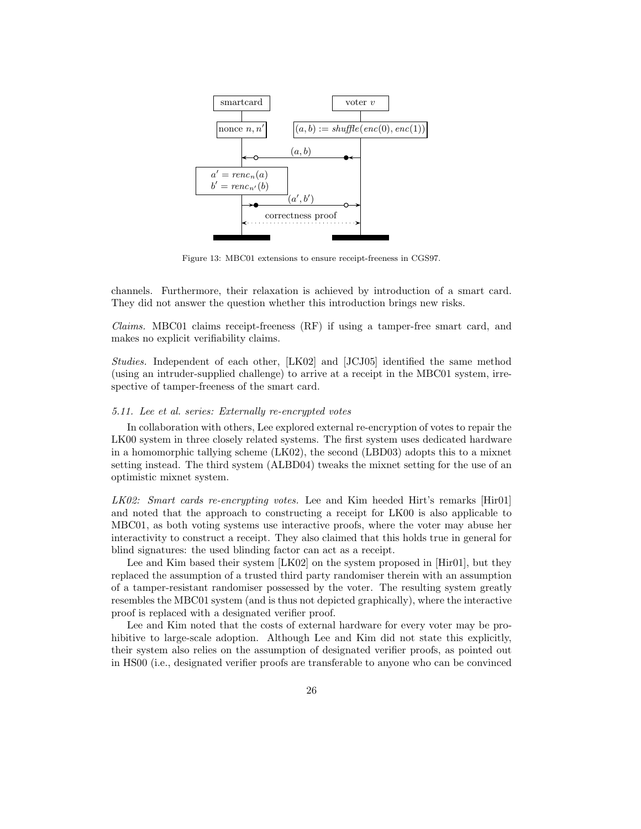

Figure 13: MBC01 extensions to ensure receipt-freeness in CGS97.

channels. Furthermore, their relaxation is achieved by introduction of a smart card. They did not answer the question whether this introduction brings new risks.

Claims. MBC01 claims receipt-freeness (RF) if using a tamper-free smart card, and makes no explicit verifiability claims.

Studies. Independent of each other, [LK02] and [JCJ05] identified the same method (using an intruder-supplied challenge) to arrive at a receipt in the MBC01 system, irrespective of tamper-freeness of the smart card.

#### 5.11. Lee et al. series: Externally re-encrypted votes

In collaboration with others, Lee explored external re-encryption of votes to repair the LK00 system in three closely related systems. The first system uses dedicated hardware in a homomorphic tallying scheme (LK02), the second (LBD03) adopts this to a mixnet setting instead. The third system (ALBD04) tweaks the mixnet setting for the use of an optimistic mixnet system.

LK02: Smart cards re-encrypting votes. Lee and Kim heeded Hirt's remarks [Hir01] and noted that the approach to constructing a receipt for LK00 is also applicable to MBC01, as both voting systems use interactive proofs, where the voter may abuse her interactivity to construct a receipt. They also claimed that this holds true in general for blind signatures: the used blinding factor can act as a receipt.

Lee and Kim based their system [LK02] on the system proposed in [Hir01], but they replaced the assumption of a trusted third party randomiser therein with an assumption of a tamper-resistant randomiser possessed by the voter. The resulting system greatly resembles the MBC01 system (and is thus not depicted graphically), where the interactive proof is replaced with a designated verifier proof.

Lee and Kim noted that the costs of external hardware for every voter may be prohibitive to large-scale adoption. Although Lee and Kim did not state this explicitly, their system also relies on the assumption of designated verifier proofs, as pointed out in HS00 (i.e., designated verifier proofs are transferable to anyone who can be convinced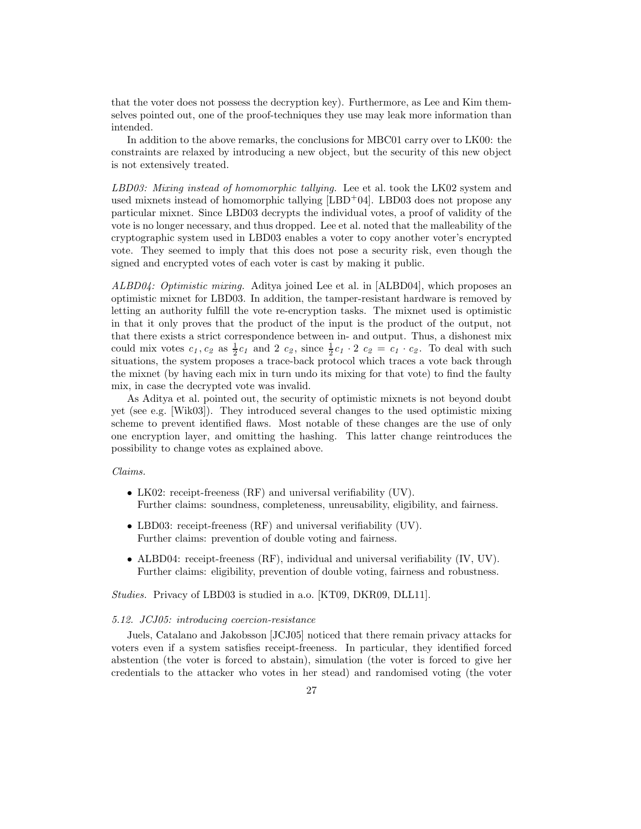that the voter does not possess the decryption key). Furthermore, as Lee and Kim themselves pointed out, one of the proof-techniques they use may leak more information than intended.

In addition to the above remarks, the conclusions for MBC01 carry over to LK00: the constraints are relaxed by introducing a new object, but the security of this new object is not extensively treated.

LBD03: Mixing instead of homomorphic tallying. Lee et al. took the LK02 system and used mixnets instead of homomorphic tallying [LBD<sup>+</sup>04]. LBD03 does not propose any particular mixnet. Since LBD03 decrypts the individual votes, a proof of validity of the vote is no longer necessary, and thus dropped. Lee et al. noted that the malleability of the cryptographic system used in LBD03 enables a voter to copy another voter's encrypted vote. They seemed to imply that this does not pose a security risk, even though the signed and encrypted votes of each voter is cast by making it public.

ALBD04: Optimistic mixing. Aditya joined Lee et al. in [ALBD04], which proposes an optimistic mixnet for LBD03. In addition, the tamper-resistant hardware is removed by letting an authority fulfill the vote re-encryption tasks. The mixnet used is optimistic in that it only proves that the product of the input is the product of the output, not that there exists a strict correspondence between in- and output. Thus, a dishonest mix could mix votes  $c_1, c_2$  as  $\frac{1}{2}c_1$  and 2  $c_2$ , since  $\frac{1}{2}c_1 \cdot 2$   $c_2 = c_1 \cdot c_2$ . To deal with such situations, the system proposes a trace-back protocol which traces a vote back through the mixnet (by having each mix in turn undo its mixing for that vote) to find the faulty mix, in case the decrypted vote was invalid.

As Aditya et al. pointed out, the security of optimistic mixnets is not beyond doubt yet (see e.g. [Wik03]). They introduced several changes to the used optimistic mixing scheme to prevent identified flaws. Most notable of these changes are the use of only one encryption layer, and omitting the hashing. This latter change reintroduces the possibility to change votes as explained above.

#### Claims.

- LK02: receipt-freeness (RF) and universal verifiability (UV). Further claims: soundness, completeness, unreusability, eligibility, and fairness.
- LBD03: receipt-freeness (RF) and universal verifiability (UV). Further claims: prevention of double voting and fairness.
- ALBD04: receipt-freeness (RF), individual and universal verifiability (IV, UV). Further claims: eligibility, prevention of double voting, fairness and robustness.

Studies. Privacy of LBD03 is studied in a.o. [KT09, DKR09, DLL11].

# 5.12. JCJ05: introducing coercion-resistance

Juels, Catalano and Jakobsson [JCJ05] noticed that there remain privacy attacks for voters even if a system satisfies receipt-freeness. In particular, they identified forced abstention (the voter is forced to abstain), simulation (the voter is forced to give her credentials to the attacker who votes in her stead) and randomised voting (the voter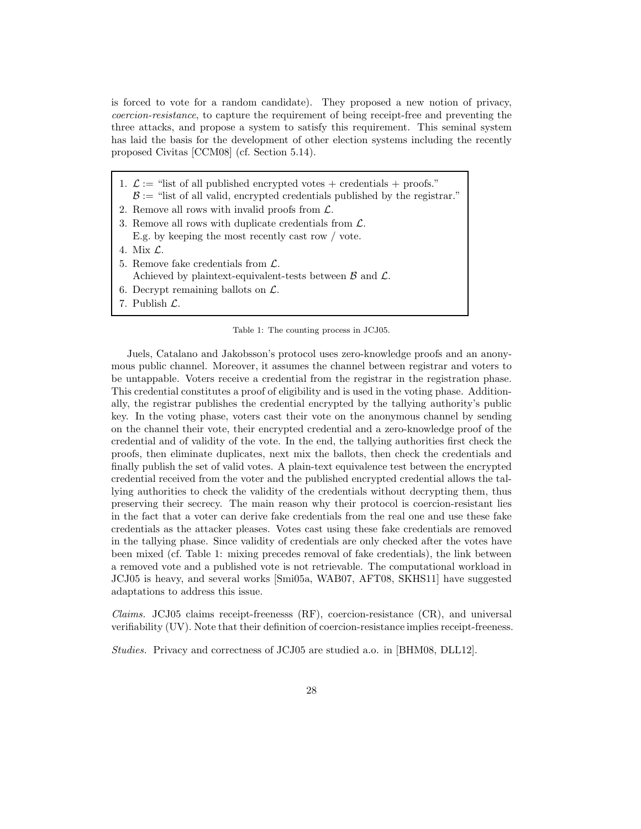is forced to vote for a random candidate). They proposed a new notion of privacy, coercion-resistance, to capture the requirement of being receipt-free and preventing the three attacks, and propose a system to satisfy this requirement. This seminal system has laid the basis for the development of other election systems including the recently proposed Civitas [CCM08] (cf. Section 5.14).

- 1.  $\mathcal{L} :=$  "list of all published encrypted votes + credentials + proofs."  $\mathcal{B} :=$  "list of all valid, encrypted credentials published by the registrar."
- 2. Remove all rows with invalid proofs from L.
- 3. Remove all rows with duplicate credentials from L. E.g. by keeping the most recently cast row / vote.
- 4. Mix L.
- 5. Remove fake credentials from  $\mathcal{L}$ . Achieved by plaintext-equivalent-tests between  $\beta$  and  $\mathcal{L}$ .
- 6. Decrypt remaining ballots on  $\mathcal{L}$ .
- 7. Publish L.

Table 1: The counting process in JCJ05.

Juels, Catalano and Jakobsson's protocol uses zero-knowledge proofs and an anonymous public channel. Moreover, it assumes the channel between registrar and voters to be untappable. Voters receive a credential from the registrar in the registration phase. This credential constitutes a proof of eligibility and is used in the voting phase. Additionally, the registrar publishes the credential encrypted by the tallying authority's public key. In the voting phase, voters cast their vote on the anonymous channel by sending on the channel their vote, their encrypted credential and a zero-knowledge proof of the credential and of validity of the vote. In the end, the tallying authorities first check the proofs, then eliminate duplicates, next mix the ballots, then check the credentials and finally publish the set of valid votes. A plain-text equivalence test between the encrypted credential received from the voter and the published encrypted credential allows the tallying authorities to check the validity of the credentials without decrypting them, thus preserving their secrecy. The main reason why their protocol is coercion-resistant lies in the fact that a voter can derive fake credentials from the real one and use these fake credentials as the attacker pleases. Votes cast using these fake credentials are removed in the tallying phase. Since validity of credentials are only checked after the votes have been mixed (cf. Table 1: mixing precedes removal of fake credentials), the link between a removed vote and a published vote is not retrievable. The computational workload in JCJ05 is heavy, and several works [Smi05a, WAB07, AFT08, SKHS11] have suggested adaptations to address this issue.

Claims. JCJ05 claims receipt-freenesss (RF), coercion-resistance (CR), and universal verifiability (UV). Note that their definition of coercion-resistance implies receipt-freeness.

Studies. Privacy and correctness of JCJ05 are studied a.o. in [BHM08, DLL12].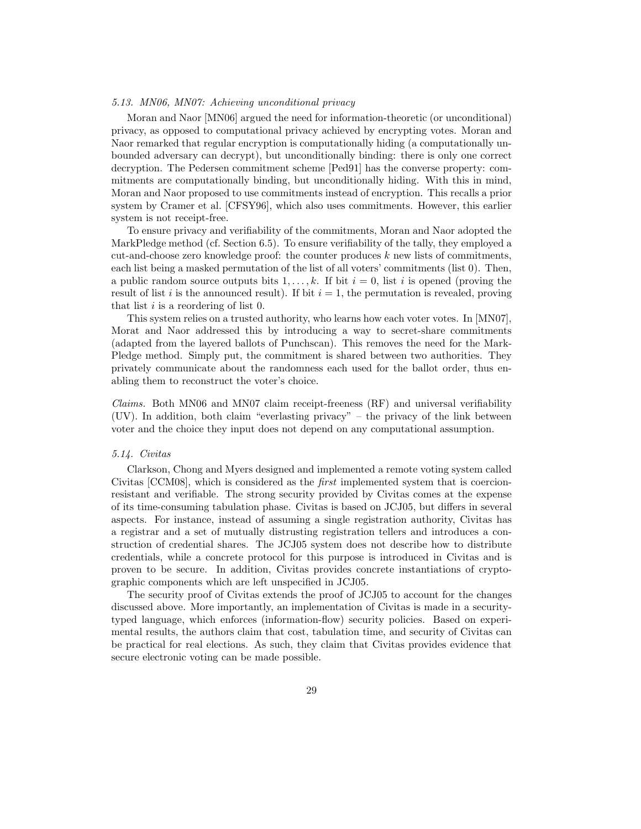# 5.13. MN06, MN07: Achieving unconditional privacy

Moran and Naor [MN06] argued the need for information-theoretic (or unconditional) privacy, as opposed to computational privacy achieved by encrypting votes. Moran and Naor remarked that regular encryption is computationally hiding (a computationally unbounded adversary can decrypt), but unconditionally binding: there is only one correct decryption. The Pedersen commitment scheme [Ped91] has the converse property: commitments are computationally binding, but unconditionally hiding. With this in mind, Moran and Naor proposed to use commitments instead of encryption. This recalls a prior system by Cramer et al. [CFSY96], which also uses commitments. However, this earlier system is not receipt-free.

To ensure privacy and verifiability of the commitments, Moran and Naor adopted the MarkPledge method (cf. Section 6.5). To ensure verifiability of the tally, they employed a cut-and-choose zero knowledge proof: the counter produces  $k$  new lists of commitments, each list being a masked permutation of the list of all voters' commitments (list 0). Then, a public random source outputs bits  $1, \ldots, k$ . If bit  $i = 0$ , list i is opened (proving the result of list i is the announced result). If bit  $i = 1$ , the permutation is revealed, proving that list  $i$  is a reordering of list 0.

This system relies on a trusted authority, who learns how each voter votes. In [MN07], Morat and Naor addressed this by introducing a way to secret-share commitments (adapted from the layered ballots of Punchscan). This removes the need for the Mark-Pledge method. Simply put, the commitment is shared between two authorities. They privately communicate about the randomness each used for the ballot order, thus enabling them to reconstruct the voter's choice.

*Claims.* Both MN06 and MN07 claim receipt-freeness  $(RF)$  and universal verifiability  $(UV)$ . In addition, both claim "everlasting privacy" – the privacy of the link between voter and the choice they input does not depend on any computational assumption.

# 5.14. Civitas

Clarkson, Chong and Myers designed and implemented a remote voting system called Civitas [CCM08], which is considered as the first implemented system that is coercionresistant and verifiable. The strong security provided by Civitas comes at the expense of its time-consuming tabulation phase. Civitas is based on JCJ05, but differs in several aspects. For instance, instead of assuming a single registration authority, Civitas has a registrar and a set of mutually distrusting registration tellers and introduces a construction of credential shares. The JCJ05 system does not describe how to distribute credentials, while a concrete protocol for this purpose is introduced in Civitas and is proven to be secure. In addition, Civitas provides concrete instantiations of cryptographic components which are left unspecified in JCJ05.

The security proof of Civitas extends the proof of JCJ05 to account for the changes discussed above. More importantly, an implementation of Civitas is made in a securitytyped language, which enforces (information-flow) security policies. Based on experimental results, the authors claim that cost, tabulation time, and security of Civitas can be practical for real elections. As such, they claim that Civitas provides evidence that secure electronic voting can be made possible.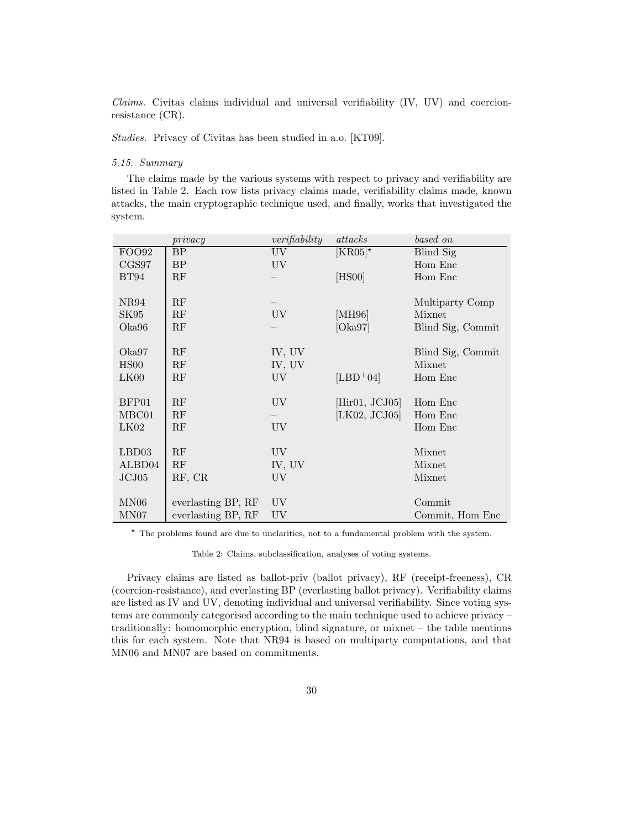$Clains.$  Civitas claims individual and universal verifiability  $(IV, UV)$  and coercionresistance (CR).

Studies. Privacy of Civitas has been studied in a.o. [KT09].

# 5.15. Summary

The claims made by the various systems with respect to privacy and verifiability are listed in Table 2. Each row lists privacy claims made, verifiability claims made, known attacks, the main cryptographic technique used, and finally, works that investigated the system.

|                    | $\iota$            | verifiability | attacks        | based on          |
|--------------------|--------------------|---------------|----------------|-------------------|
| FOO92              | BP                 | UV            | $[KR05]*$      | Blind Sig         |
| CGS97              | BP                 | UV            |                | Hom Enc           |
| BT94               | RF                 |               | [HS00]         | Hom Enc           |
|                    |                    |               |                |                   |
| NR94               | RF                 |               |                | Multiparty Comp   |
| SK95               | RF                 | UV.           | [MH96]         | Mixnet            |
| Oka96              | RF                 |               | [Oka97]        | Blind Sig, Commit |
|                    |                    |               |                |                   |
| Oka97              | RF                 | IV, UV        |                | Blind Sig, Commit |
| HS00               | RF                 | IV, UV        |                | Mixnet            |
| LK00               | RF                 | UV.           | $[LBD+04]$     | Hom Enc           |
|                    |                    |               |                |                   |
| BFP01              | RF                 | UV.           | [Hirol, JCJ05] | Hom Enc           |
| MBC01              | RF                 |               | [LK02, JCJ05]  | Hom Enc           |
| LK02               | RF                 | UV.           |                | Hom Enc           |
|                    |                    |               |                |                   |
| LBD03              | RF                 | UV.           |                | Mixnet            |
| ALBD <sub>04</sub> | RF                 | IV, UV        |                | Mixnet            |
| JCJ05              | RF, CR             | UV.           |                | Mixnet            |
|                    |                    |               |                |                   |
| MN06               | everlasting BP, RF | UV            |                | Commit            |
| MN07               | everlasting BP, RF | UV            |                | Commit, Hom Enc.  |

<sup>⋆</sup> The problems found are due to unclarities, not to a fundamental problem with the system.

Table 2: Claims, subclassification, analyses of voting systems.

Privacy claims are listed as ballot-priv (ballot privacy), RF (receipt-freeness), CR (coercion-resistance), and everlasting BP (everlasting ballot privacy). Verifiability claims are listed as IV and UV, denoting individual and universal verifiability. Since voting systems are commonly categorised according to the main technique used to achieve privacy – traditionally: homomorphic encryption, blind signature, or mixnet – the table mentions this for each system. Note that NR94 is based on multiparty computations, and that MN06 and MN07 are based on commitments.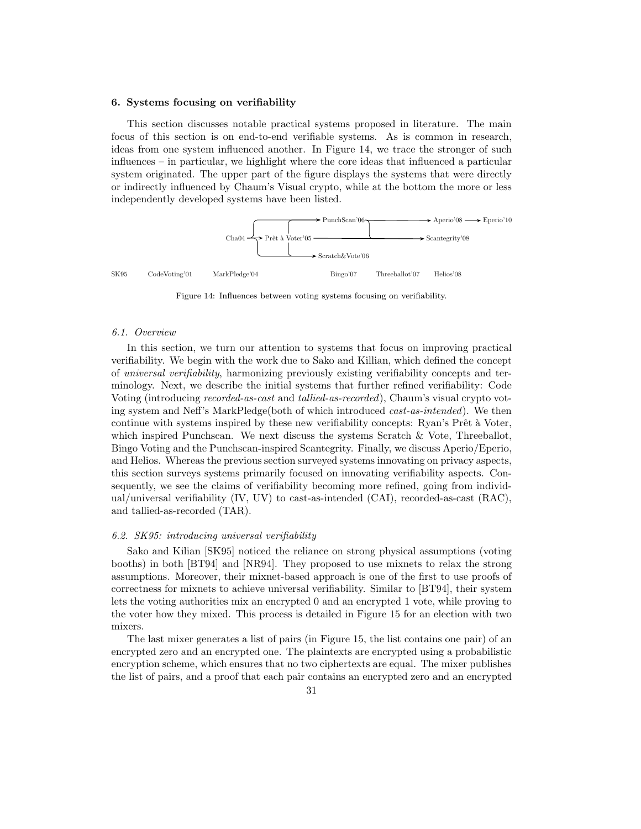#### 6. Systems focusing on verifiability

This section discusses notable practical systems proposed in literature. The main focus of this section is on end-to-end verifiable systems. As is common in research, ideas from one system influenced another. In Figure 14, we trace the stronger of such influences – in particular, we highlight where the core ideas that influenced a particular system originated. The upper part of the figure displays the systems that were directly or indirectly influenced by Chaum's Visual crypto, while at the bottom the more or less independently developed systems have been listed.



Figure 14: Influences between voting systems focusing on verifiability.

## 6.1. Overview

In this section, we turn our attention to systems that focus on improving practical verifiability. We begin with the work due to Sako and Killian, which defined the concept of universal verifiability, harmonizing previously existing verifiability concepts and terminology. Next, we describe the initial systems that further refined verifiability: Code Voting (introducing recorded-as-cast and tallied-as-recorded), Chaum's visual crypto voting system and Neff's MarkPledge(both of which introduced cast-as-intended). We then continue with systems inspired by these new verifiability concepts: Ryan's Prêt à Voter, which inspired Punchscan. We next discuss the systems Scratch & Vote, Threeballot, Bingo Voting and the Punchscan-inspired Scantegrity. Finally, we discuss Aperio/Eperio, and Helios. Whereas the previous section surveyed systems innovating on privacy aspects, this section surveys systems primarily focused on innovating verifiability aspects. Consequently, we see the claims of verifiability becoming more refined, going from individual/universal verifiability (IV, UV) to cast-as-intended (CAI), recorded-as-cast (RAC), and tallied-as-recorded (TAR).

## 6.2. SK95: introducing universal verifiability

Sako and Kilian [SK95] noticed the reliance on strong physical assumptions (voting booths) in both [BT94] and [NR94]. They proposed to use mixnets to relax the strong assumptions. Moreover, their mixnet-based approach is one of the first to use proofs of correctness for mixnets to achieve universal verifiability. Similar to [BT94], their system lets the voting authorities mix an encrypted 0 and an encrypted 1 vote, while proving to the voter how they mixed. This process is detailed in Figure 15 for an election with two mixers.

The last mixer generates a list of pairs (in Figure 15, the list contains one pair) of an encrypted zero and an encrypted one. The plaintexts are encrypted using a probabilistic encryption scheme, which ensures that no two ciphertexts are equal. The mixer publishes the list of pairs, and a proof that each pair contains an encrypted zero and an encrypted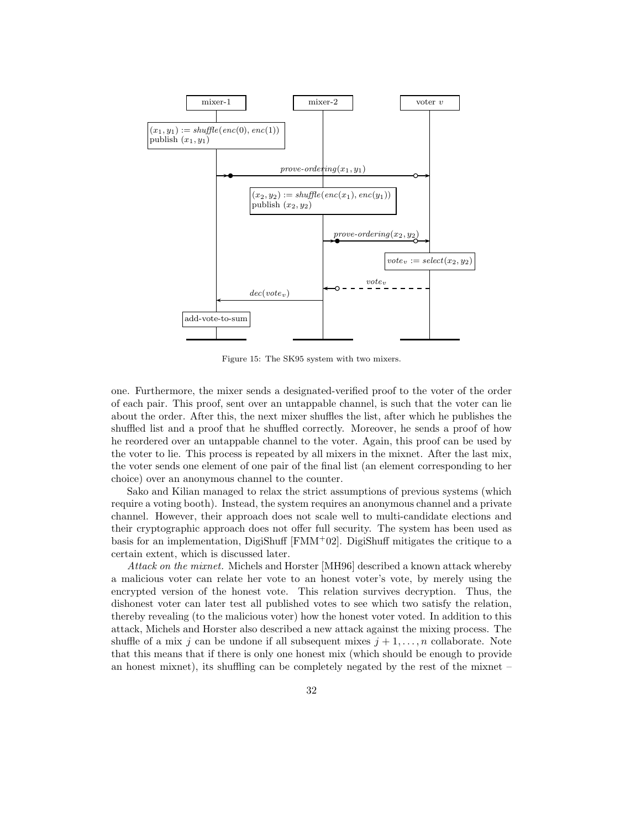

Figure 15: The SK95 system with two mixers.

one. Furthermore, the mixer sends a designated-verified proof to the voter of the order of each pair. This proof, sent over an untappable channel, is such that the voter can lie about the order. After this, the next mixer shuffles the list, after which he publishes the shuffled list and a proof that he shuffled correctly. Moreover, he sends a proof of how he reordered over an untappable channel to the voter. Again, this proof can be used by the voter to lie. This process is repeated by all mixers in the mixnet. After the last mix, the voter sends one element of one pair of the final list (an element corresponding to her choice) over an anonymous channel to the counter.

Sako and Kilian managed to relax the strict assumptions of previous systems (which require a voting booth). Instead, the system requires an anonymous channel and a private channel. However, their approach does not scale well to multi-candidate elections and their cryptographic approach does not offer full security. The system has been used as basis for an implementation, DigiShuff  $[FMM<sup>+</sup>02]$ . DigiShuff mitigates the critique to a certain extent, which is discussed later.

Attack on the mixnet. Michels and Horster [MH96] described a known attack whereby a malicious voter can relate her vote to an honest voter's vote, by merely using the encrypted version of the honest vote. This relation survives decryption. Thus, the dishonest voter can later test all published votes to see which two satisfy the relation, thereby revealing (to the malicious voter) how the honest voter voted. In addition to this attack, Michels and Horster also described a new attack against the mixing process. The shuffle of a mix j can be undone if all subsequent mixes  $j + 1, \ldots, n$  collaborate. Note that this means that if there is only one honest mix (which should be enough to provide an honest mixnet), its shuffling can be completely negated by the rest of the mixnet –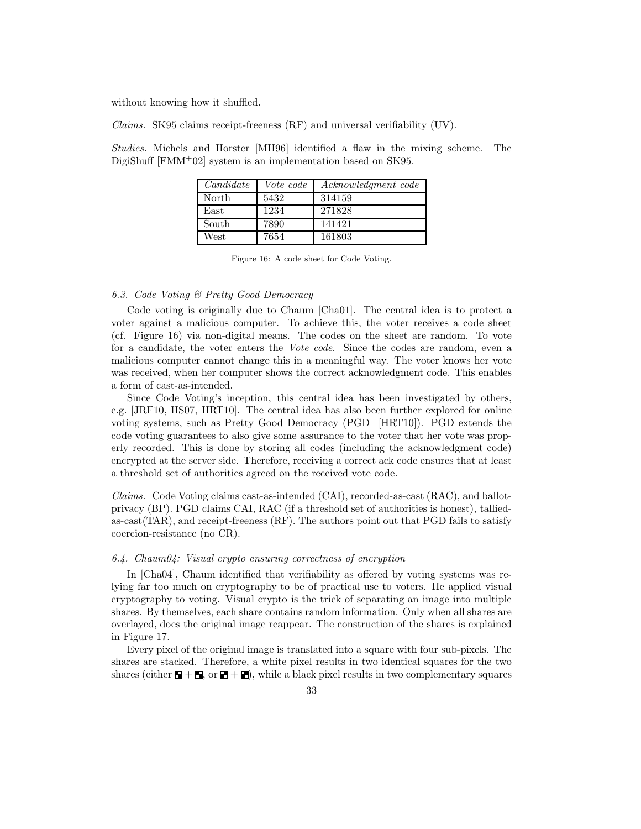without knowing how it shuffled.

Claims. SK95 claims receipt-freeness (RF) and universal verifiability (UV).

Studies. Michels and Horster [MH96] identified a flaw in the mixing scheme. The DigiShuff [FMM<sup>+</sup>02] system is an implementation based on SK95.

| C and <i>idate</i> | Vote code | Acknowledgment code |
|--------------------|-----------|---------------------|
| North              | 5432      | 314159              |
| East               | 1234      | 271828              |
| South              | 7890      | 141421              |
| West               | 7654      | 161803              |

Figure 16: A code sheet for Code Voting.

#### 6.3. Code Voting & Pretty Good Democracy

Code voting is originally due to Chaum [Cha01]. The central idea is to protect a voter against a malicious computer. To achieve this, the voter receives a code sheet (cf. Figure 16) via non-digital means. The codes on the sheet are random. To vote for a candidate, the voter enters the Vote code. Since the codes are random, even a malicious computer cannot change this in a meaningful way. The voter knows her vote was received, when her computer shows the correct acknowledgment code. This enables a form of cast-as-intended.

Since Code Voting's inception, this central idea has been investigated by others, e.g. [JRF10, HS07, HRT10]. The central idea has also been further explored for online voting systems, such as Pretty Good Democracy (PGD [HRT10]). PGD extends the code voting guarantees to also give some assurance to the voter that her vote was properly recorded. This is done by storing all codes (including the acknowledgment code) encrypted at the server side. Therefore, receiving a correct ack code ensures that at least a threshold set of authorities agreed on the received vote code.

Claims. Code Voting claims cast-as-intended (CAI), recorded-as-cast (RAC), and ballotprivacy (BP). PGD claims CAI, RAC (if a threshold set of authorities is honest), talliedas-cast(TAR), and receipt-freeness (RF). The authors point out that PGD fails to satisfy coercion-resistance (no CR).

# 6.4. Chaum04: Visual crypto ensuring correctness of encryption

In [Cha04], Chaum identified that verifiability as offered by voting systems was relying far too much on cryptography to be of practical use to voters. He applied visual cryptography to voting. Visual crypto is the trick of separating an image into multiple shares. By themselves, each share contains random information. Only when all shares are overlayed, does the original image reappear. The construction of the shares is explained in Figure 17.

Every pixel of the original image is translated into a square with four sub-pixels. The shares are stacked. Therefore, a white pixel results in two identical squares for the two shares (either  $\mathbf{E} + \mathbf{E}$ , or  $\mathbf{E} + \mathbf{E}$ ), while a black pixel results in two complementary squares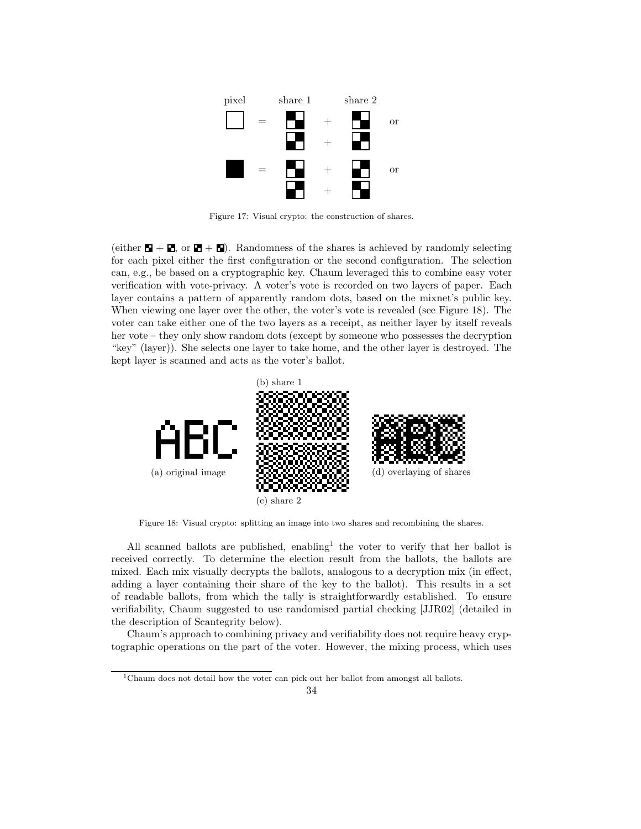

Figure 17: Visual crypto: the construction of shares.

(either  $\blacksquare + \blacksquare$ , or  $\blacksquare + \blacksquare$ ). Randomness of the shares is achieved by randomly selecting for each pixel either the first configuration or the second configuration. The selection can, e.g., be based on a cryptographic key. Chaum leveraged this to combine easy voter verification with vote-privacy. A voter's vote is recorded on two layers of paper. Each layer contains a pattern of apparently random dots, based on the mixnet's public key. When viewing one layer over the other, the voter's vote is revealed (see Figure 18). The voter can take either one of the two layers as a receipt, as neither layer by itself reveals her vote – they only show random dots (except by someone who possesses the decryption "key" (layer)). She selects one layer to take home, and the other layer is destroyed. The kept layer is scanned and acts as the voter's ballot.



Figure 18: Visual crypto: splitting an image into two shares and recombining the shares.

All scanned ballots are published, enabling<sup>1</sup> the voter to verify that her ballot is received correctly. To determine the election result from the ballots, the ballots are mixed. Each mix visually decrypts the ballots, analogous to a decryption mix (in effect, adding a layer containing their share of the key to the ballot). This results in a set of readable ballots, from which the tally is straightforwardly established. To ensure verifiability, Chaum suggested to use randomised partial checking [JJR02] (detailed in the description of Scantegrity below).

Chaum's approach to combining privacy and verifiability does not require heavy cryptographic operations on the part of the voter. However, the mixing process, which uses

 $^1\rm Chaum$  does not detail how the voter can pick out her ballot from amongst all ballots.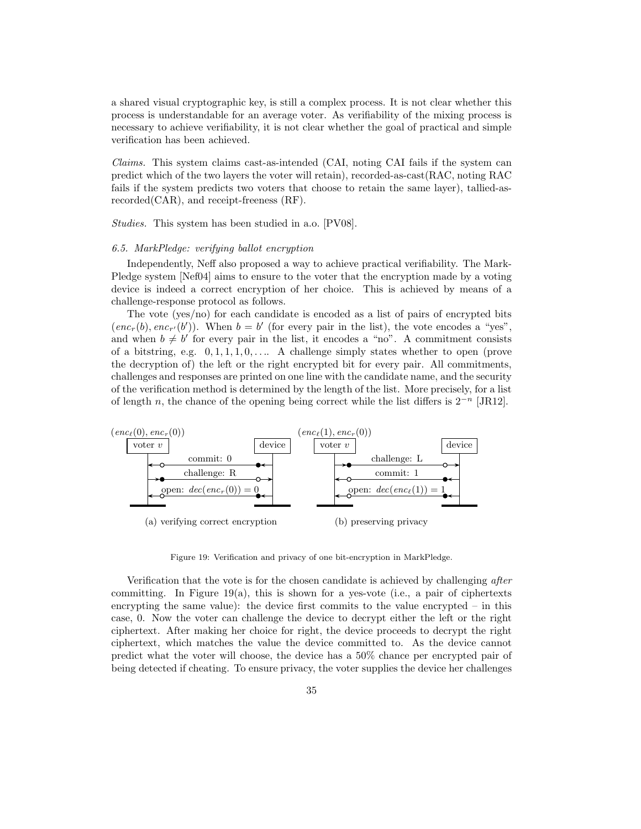a shared visual cryptographic key, is still a complex process. It is not clear whether this process is understandable for an average voter. As verifiability of the mixing process is necessary to achieve verifiability, it is not clear whether the goal of practical and simple verification has been achieved.

Claims. This system claims cast-as-intended (CAI, noting CAI fails if the system can predict which of the two layers the voter will retain), recorded-as-cast(RAC, noting RAC fails if the system predicts two voters that choose to retain the same layer), tallied-asrecorded(CAR), and receipt-freeness (RF).

Studies. This system has been studied in a.o. [PV08].

## 6.5. MarkPledge: verifying ballot encryption

Independently, Neff also proposed a way to achieve practical verifiability. The Mark-Pledge system [Nef04] aims to ensure to the voter that the encryption made by a voting device is indeed a correct encryption of her choice. This is achieved by means of a challenge-response protocol as follows.

The vote (yes/no) for each candidate is encoded as a list of pairs of encrypted bits  $(enc<sub>r</sub>(b), enc<sub>r</sub>(b'))$ . When  $b = b'$  (for every pair in the list), the vote encodes a "yes", and when  $b \neq b'$  for every pair in the list, it encodes a "no". A commitment consists of a bitstring, e.g.  $0, 1, 1, 1, 0, \ldots$  A challenge simply states whether to open (prove the decryption of) the left or the right encrypted bit for every pair. All commitments, challenges and responses are printed on one line with the candidate name, and the security of the verification method is determined by the length of the list. More precisely, for a list of length n, the chance of the opening being correct while the list differs is  $2^{-n}$  [JR12].



Figure 19: Verification and privacy of one bit-encryption in MarkPledge.

Verification that the vote is for the chosen candidate is achieved by challenging after committing. In Figure 19(a), this is shown for a yes-vote (i.e., a pair of ciphertexts encrypting the same value): the device first commits to the value encrypted  $-$  in this case, 0. Now the voter can challenge the device to decrypt either the left or the right ciphertext. After making her choice for right, the device proceeds to decrypt the right ciphertext, which matches the value the device committed to. As the device cannot predict what the voter will choose, the device has a 50% chance per encrypted pair of being detected if cheating. To ensure privacy, the voter supplies the device her challenges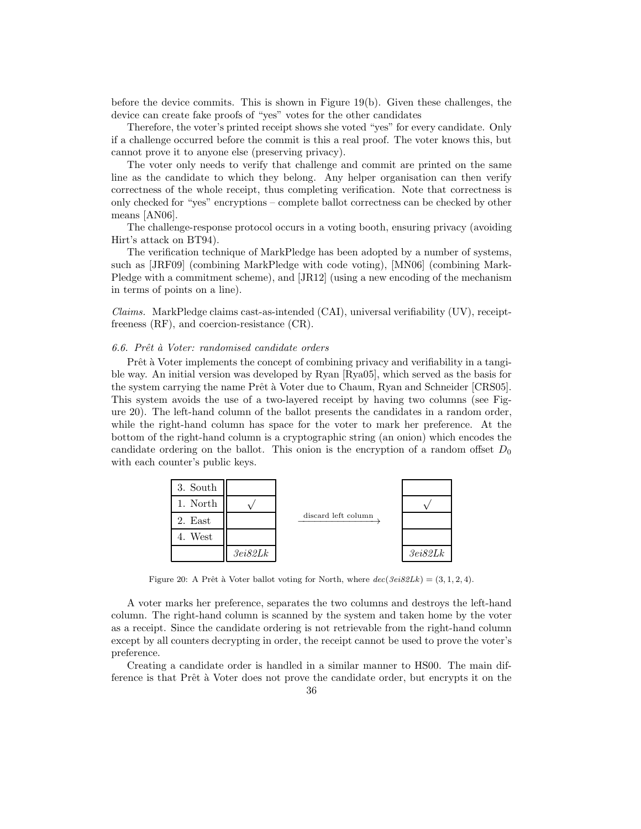before the device commits. This is shown in Figure 19(b). Given these challenges, the device can create fake proofs of "yes" votes for the other candidates

Therefore, the voter's printed receipt shows she voted "yes" for every candidate. Only if a challenge occurred before the commit is this a real proof. The voter knows this, but cannot prove it to anyone else (preserving privacy).

The voter only needs to verify that challenge and commit are printed on the same line as the candidate to which they belong. Any helper organisation can then verify correctness of the whole receipt, thus completing verification. Note that correctness is only checked for "yes" encryptions – complete ballot correctness can be checked by other means [AN06].

The challenge-response protocol occurs in a voting booth, ensuring privacy (avoiding Hirt's attack on BT94).

The verification technique of MarkPledge has been adopted by a number of systems, such as [JRF09] (combining MarkPledge with code voting), [MN06] (combining Mark-Pledge with a commitment scheme), and [JR12] (using a new encoding of the mechanism in terms of points on a line).

Claims. MarkPledge claims cast-as-intended (CAI), universal verifiability (UV), receiptfreeness (RF), and coercion-resistance (CR).

#### 6.6. Prêt à Voter: randomised candidate orders

Prêt à Voter implements the concept of combining privacy and verifiability in a tangible way. An initial version was developed by Ryan [Rya05], which served as the basis for the system carrying the name Prêt à Voter due to Chaum, Ryan and Schneider [CRS05]. This system avoids the use of a two-layered receipt by having two columns (see Figure 20). The left-hand column of the ballot presents the candidates in a random order, while the right-hand column has space for the voter to mark her preference. At the bottom of the right-hand column is a cryptographic string (an onion) which encodes the candidate ordering on the ballot. This onion is the encryption of a random offset  $D_0$ with each counter's public keys.



Figure 20: A Prêt à Voter ballot voting for North, where  $dec(3ei82Lk) = (3, 1, 2, 4)$ .

A voter marks her preference, separates the two columns and destroys the left-hand column. The right-hand column is scanned by the system and taken home by the voter as a receipt. Since the candidate ordering is not retrievable from the right-hand column except by all counters decrypting in order, the receipt cannot be used to prove the voter's preference.

Creating a candidate order is handled in a similar manner to HS00. The main difference is that Prêt à Voter does not prove the candidate order, but encrypts it on the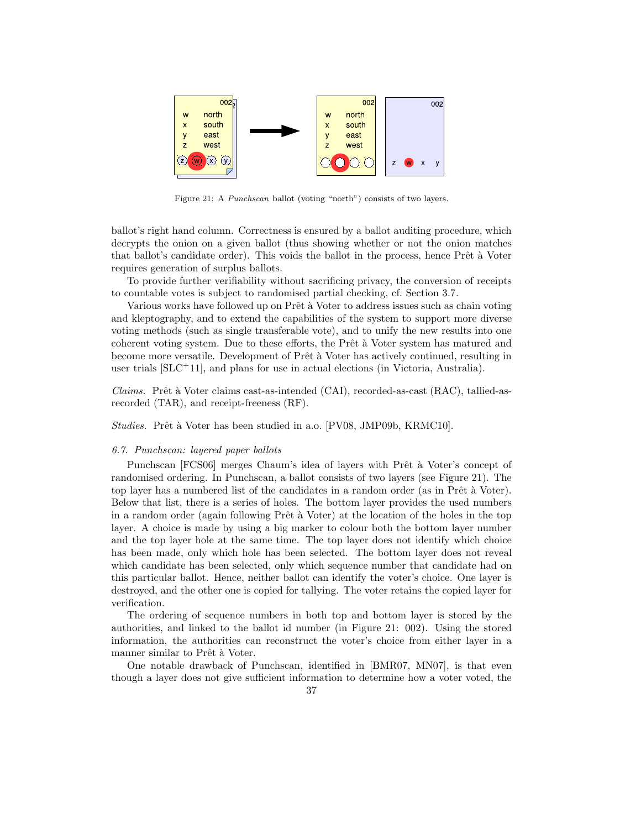

Figure 21: A Punchscan ballot (voting "north") consists of two layers.

ballot's right hand column. Correctness is ensured by a ballot auditing procedure, which decrypts the onion on a given ballot (thus showing whether or not the onion matches that ballot's candidate order). This voids the ballot in the process, hence Prêt à Voter requires generation of surplus ballots.

To provide further verifiability without sacrificing privacy, the conversion of receipts to countable votes is subject to randomised partial checking, cf. Section 3.7.

Various works have followed up on Prêt à Voter to address issues such as chain voting and kleptography, and to extend the capabilities of the system to support more diverse voting methods (such as single transferable vote), and to unify the new results into one coherent voting system. Due to these efforts, the Prêt à Voter system has matured and become more versatile. Development of Prêt à Voter has actively continued, resulting in user trials [SLC<sup>+</sup>11], and plans for use in actual elections (in Victoria, Australia).

 $Clains.$  Prêt à Voter claims cast-as-intended (CAI), recorded-as-cast (RAC), tallied-asrecorded (TAR), and receipt-freeness (RF).

Studies. Prêt à Voter has been studied in a.o. [PV08, JMP09b, KRMC10].

## 6.7. Punchscan: layered paper ballots

Punchscan [FCS06] merges Chaum's idea of layers with Prêt à Voter's concept of randomised ordering. In Punchscan, a ballot consists of two layers (see Figure 21). The top layer has a numbered list of the candidates in a random order (as in Prêt à Voter). Below that list, there is a series of holes. The bottom layer provides the used numbers in a random order (again following Prêt à Voter) at the location of the holes in the top layer. A choice is made by using a big marker to colour both the bottom layer number and the top layer hole at the same time. The top layer does not identify which choice has been made, only which hole has been selected. The bottom layer does not reveal which candidate has been selected, only which sequence number that candidate had on this particular ballot. Hence, neither ballot can identify the voter's choice. One layer is destroyed, and the other one is copied for tallying. The voter retains the copied layer for verification.

The ordering of sequence numbers in both top and bottom layer is stored by the authorities, and linked to the ballot id number (in Figure 21: 002). Using the stored information, the authorities can reconstruct the voter's choice from either layer in a manner similar to Prêt à Voter.

One notable drawback of Punchscan, identified in [BMR07, MN07], is that even though a layer does not give sufficient information to determine how a voter voted, the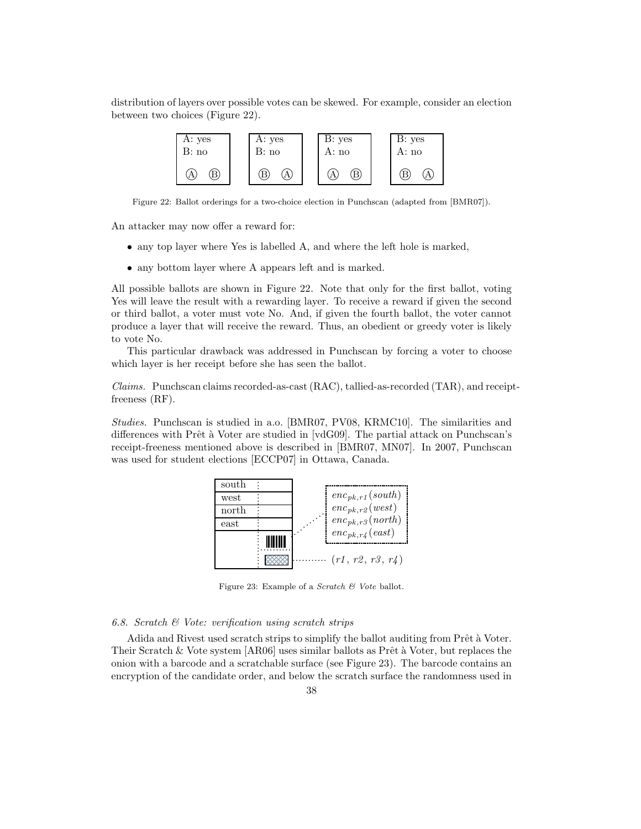distribution of layers over possible votes can be skewed. For example, consider an election between two choices (Figure 22).

| A: yes | A: yes | B: yes | B: yes |
|--------|--------|--------|--------|
| B: no  | B: no  | A: no  | A: no  |
|        | B      | B      | В      |

Figure 22: Ballot orderings for a two-choice election in Punchscan (adapted from [BMR07]).

An attacker may now offer a reward for:

- any top layer where Yes is labelled A, and where the left hole is marked,
- any bottom layer where A appears left and is marked.

All possible ballots are shown in Figure 22. Note that only for the first ballot, voting Yes will leave the result with a rewarding layer. To receive a reward if given the second or third ballot, a voter must vote No. And, if given the fourth ballot, the voter cannot produce a layer that will receive the reward. Thus, an obedient or greedy voter is likely to vote No.

This particular drawback was addressed in Punchscan by forcing a voter to choose which layer is her receipt before she has seen the ballot.

Claims. Punchscan claims recorded-as-cast (RAC), tallied-as-recorded (TAR), and receiptfreeness (RF).

Studies. Punchscan is studied in a.o. [BMR07, PV08, KRMC10]. The similarities and differences with Prêt à Voter are studied in  $\lbrack \text{vdG09} \rbrack$ . The partial attack on Punchscan's receipt-freeness mentioned above is described in [BMR07, MN07]. In 2007, Punchscan was used for student elections [ECCP07] in Ottawa, Canada.



Figure 23: Example of a Scratch & Vote ballot.

# 6.8. Scratch  $\mathcal{B}$  Vote: verification using scratch strips

Adida and Rivest used scratch strips to simplify the ballot auditing from Prêt à Voter. Their Scratch & Vote system  $[AR06]$  uses similar ballots as Prêt à Voter, but replaces the onion with a barcode and a scratchable surface (see Figure 23). The barcode contains an encryption of the candidate order, and below the scratch surface the randomness used in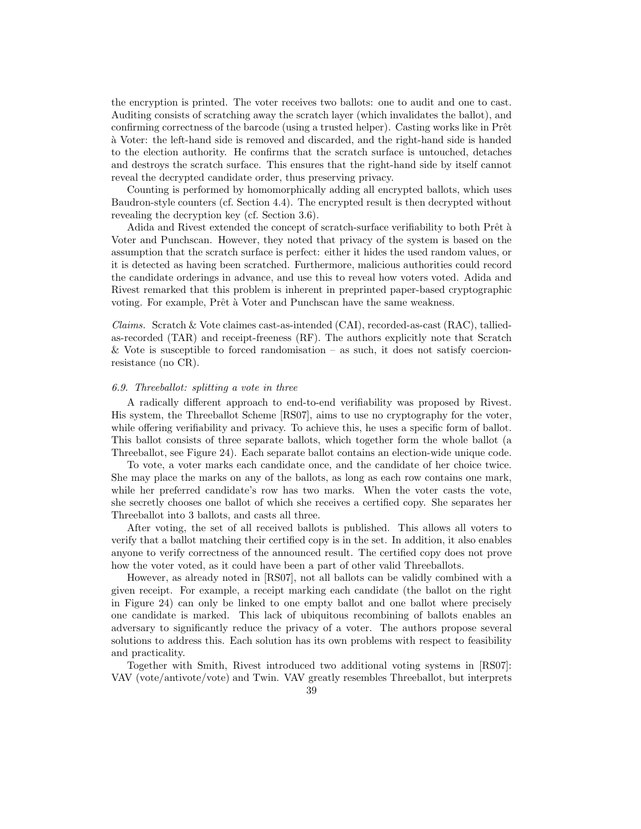the encryption is printed. The voter receives two ballots: one to audit and one to cast. Auditing consists of scratching away the scratch layer (which invalidates the ballot), and confirming correctness of the barcode (using a trusted helper). Casting works like in Prêt `a Voter: the left-hand side is removed and discarded, and the right-hand side is handed to the election authority. He confirms that the scratch surface is untouched, detaches and destroys the scratch surface. This ensures that the right-hand side by itself cannot reveal the decrypted candidate order, thus preserving privacy.

Counting is performed by homomorphically adding all encrypted ballots, which uses Baudron-style counters (cf. Section 4.4). The encrypted result is then decrypted without revealing the decryption key (cf. Section 3.6).

Adida and Rivest extended the concept of scratch-surface verifiability to both Prêt à Voter and Punchscan. However, they noted that privacy of the system is based on the assumption that the scratch surface is perfect: either it hides the used random values, or it is detected as having been scratched. Furthermore, malicious authorities could record the candidate orderings in advance, and use this to reveal how voters voted. Adida and Rivest remarked that this problem is inherent in preprinted paper-based cryptographic voting. For example, Prêt à Voter and Punchscan have the same weakness.

*Claims.* Scratch & Vote claimes cast-as-intended  $(CAI)$ , recorded-as-cast  $(RAC)$ , talliedas-recorded (TAR) and receipt-freeness (RF). The authors explicitly note that Scratch & Vote is susceptible to forced randomisation – as such, it does not satisfy coercionresistance (no CR).

#### 6.9. Threeballot: splitting a vote in three

A radically different approach to end-to-end verifiability was proposed by Rivest. His system, the Threeballot Scheme [RS07], aims to use no cryptography for the voter, while offering verifiability and privacy. To achieve this, he uses a specific form of ballot. This ballot consists of three separate ballots, which together form the whole ballot (a Threeballot, see Figure 24). Each separate ballot contains an election-wide unique code.

To vote, a voter marks each candidate once, and the candidate of her choice twice. She may place the marks on any of the ballots, as long as each row contains one mark, while her preferred candidate's row has two marks. When the voter casts the vote, she secretly chooses one ballot of which she receives a certified copy. She separates her Threeballot into 3 ballots, and casts all three.

After voting, the set of all received ballots is published. This allows all voters to verify that a ballot matching their certified copy is in the set. In addition, it also enables anyone to verify correctness of the announced result. The certified copy does not prove how the voter voted, as it could have been a part of other valid Threeballots.

However, as already noted in [RS07], not all ballots can be validly combined with a given receipt. For example, a receipt marking each candidate (the ballot on the right in Figure 24) can only be linked to one empty ballot and one ballot where precisely one candidate is marked. This lack of ubiquitous recombining of ballots enables an adversary to significantly reduce the privacy of a voter. The authors propose several solutions to address this. Each solution has its own problems with respect to feasibility and practicality.

Together with Smith, Rivest introduced two additional voting systems in [RS07]: VAV (vote/antivote/vote) and Twin. VAV greatly resembles Threeballot, but interprets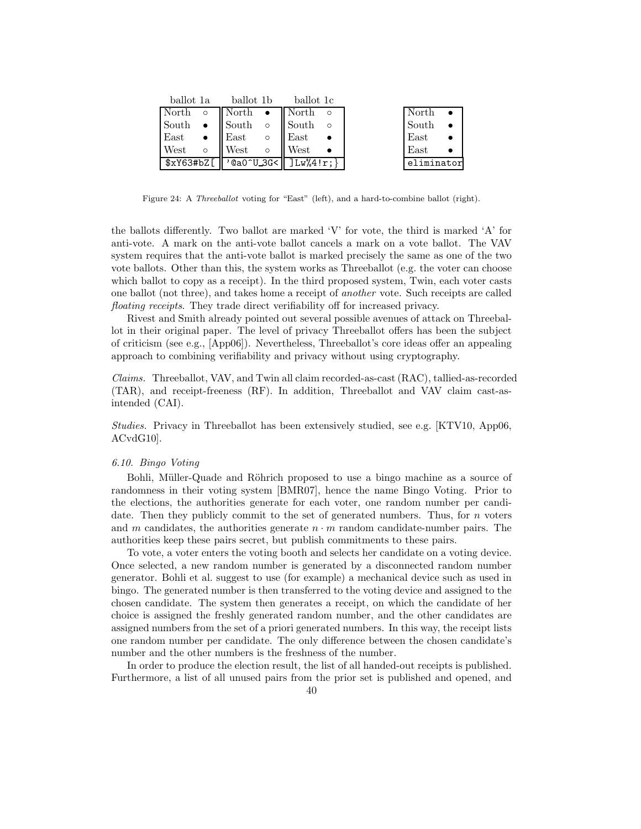|                                                                     |         | ballot 1a ballot 1b ballot 1c     |  |                 |  |                 |
|---------------------------------------------------------------------|---------|-----------------------------------|--|-----------------|--|-----------------|
| $\vert$ North $\circ$ $\vert$ North $\bullet$ $\vert$ North $\circ$ |         |                                   |  |                 |  | North           |
| South •                                                             |         |                                   |  | South o South o |  | South $\bullet$ |
| East •                                                              |         | $\parallel$ East $\parallel$ East |  |                 |  | $\text{East}$   |
| West                                                                | $\circ$ | <b>West</b>                       |  | $\circ$ West    |  | $\text{East}$   |
| $ \$xY63#bZ[  'Qa0^U3G< ]Lw''4'r;\}$                                |         |                                   |  |                 |  | eliminator      |

Figure 24: A Threeballot voting for "East" (left), and a hard-to-combine ballot (right).

the ballots differently. Two ballot are marked 'V' for vote, the third is marked 'A' for anti-vote. A mark on the anti-vote ballot cancels a mark on a vote ballot. The VAV system requires that the anti-vote ballot is marked precisely the same as one of the two vote ballots. Other than this, the system works as Threeballot (e.g. the voter can choose which ballot to copy as a receipt). In the third proposed system, Twin, each voter casts one ballot (not three), and takes home a receipt of another vote. Such receipts are called floating receipts. They trade direct verifiability off for increased privacy.

Rivest and Smith already pointed out several possible avenues of attack on Threeballot in their original paper. The level of privacy Threeballot offers has been the subject of criticism (see e.g., [App06]). Nevertheless, Threeballot's core ideas offer an appealing approach to combining verifiability and privacy without using cryptography.

Claims. Threeballot, VAV, and Twin all claim recorded-as-cast (RAC), tallied-as-recorded (TAR), and receipt-freeness (RF). In addition, Threeballot and VAV claim cast-asintended (CAI).

Studies. Privacy in Threeballot has been extensively studied, see e.g. [KTV10, App06, ACvdG10].

#### 6.10. Bingo Voting

Bohli, Müller-Quade and Röhrich proposed to use a bingo machine as a source of randomness in their voting system [BMR07], hence the name Bingo Voting. Prior to the elections, the authorities generate for each voter, one random number per candidate. Then they publicly commit to the set of generated numbers. Thus, for  $n$  voters and m candidates, the authorities generate  $n \cdot m$  random candidate-number pairs. The authorities keep these pairs secret, but publish commitments to these pairs.

To vote, a voter enters the voting booth and selects her candidate on a voting device. Once selected, a new random number is generated by a disconnected random number generator. Bohli et al. suggest to use (for example) a mechanical device such as used in bingo. The generated number is then transferred to the voting device and assigned to the chosen candidate. The system then generates a receipt, on which the candidate of her choice is assigned the freshly generated random number, and the other candidates are assigned numbers from the set of a priori generated numbers. In this way, the receipt lists one random number per candidate. The only difference between the chosen candidate's number and the other numbers is the freshness of the number.

In order to produce the election result, the list of all handed-out receipts is published. Furthermore, a list of all unused pairs from the prior set is published and opened, and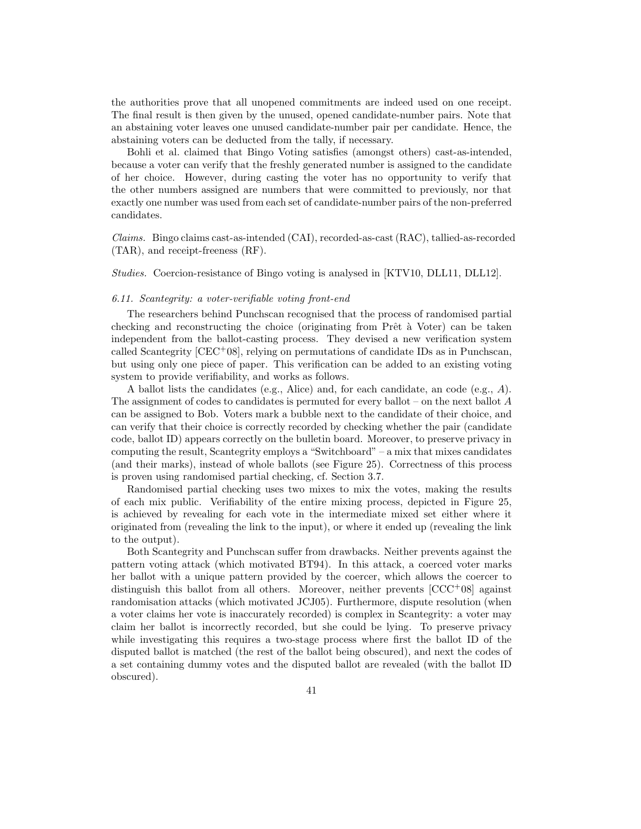the authorities prove that all unopened commitments are indeed used on one receipt. The final result is then given by the unused, opened candidate-number pairs. Note that an abstaining voter leaves one unused candidate-number pair per candidate. Hence, the abstaining voters can be deducted from the tally, if necessary.

Bohli et al. claimed that Bingo Voting satisfies (amongst others) cast-as-intended, because a voter can verify that the freshly generated number is assigned to the candidate of her choice. However, during casting the voter has no opportunity to verify that the other numbers assigned are numbers that were committed to previously, nor that exactly one number was used from each set of candidate-number pairs of the non-preferred candidates.

Claims. Bingo claims cast-as-intended (CAI), recorded-as-cast (RAC), tallied-as-recorded (TAR), and receipt-freeness (RF).

Studies. Coercion-resistance of Bingo voting is analysed in [KTV10, DLL11, DLL12].

## 6.11. Scantegrity: a voter-verifiable voting front-end

The researchers behind Punchscan recognised that the process of randomised partial checking and reconstructing the choice (originating from  $Pr\hat{e}$  à Voter) can be taken independent from the ballot-casting process. They devised a new verification system called Scantegrity [CEC<sup>+</sup>08], relying on permutations of candidate IDs as in Punchscan, but using only one piece of paper. This verification can be added to an existing voting system to provide verifiability, and works as follows.

A ballot lists the candidates (e.g., Alice) and, for each candidate, an code (e.g., A). The assignment of codes to candidates is permuted for every ballot – on the next ballot  $A$ can be assigned to Bob. Voters mark a bubble next to the candidate of their choice, and can verify that their choice is correctly recorded by checking whether the pair (candidate code, ballot ID) appears correctly on the bulletin board. Moreover, to preserve privacy in computing the result, Scantegrity employs a "Switchboard" – a mix that mixes candidates (and their marks), instead of whole ballots (see Figure 25). Correctness of this process is proven using randomised partial checking, cf. Section 3.7.

Randomised partial checking uses two mixes to mix the votes, making the results of each mix public. Verifiability of the entire mixing process, depicted in Figure 25, is achieved by revealing for each vote in the intermediate mixed set either where it originated from (revealing the link to the input), or where it ended up (revealing the link to the output).

Both Scantegrity and Punchscan suffer from drawbacks. Neither prevents against the pattern voting attack (which motivated BT94). In this attack, a coerced voter marks her ballot with a unique pattern provided by the coercer, which allows the coercer to distinguish this ballot from all others. Moreover, neither prevents [CCC<sup>+</sup>08] against randomisation attacks (which motivated JCJ05). Furthermore, dispute resolution (when a voter claims her vote is inaccurately recorded) is complex in Scantegrity: a voter may claim her ballot is incorrectly recorded, but she could be lying. To preserve privacy while investigating this requires a two-stage process where first the ballot ID of the disputed ballot is matched (the rest of the ballot being obscured), and next the codes of a set containing dummy votes and the disputed ballot are revealed (with the ballot ID obscured).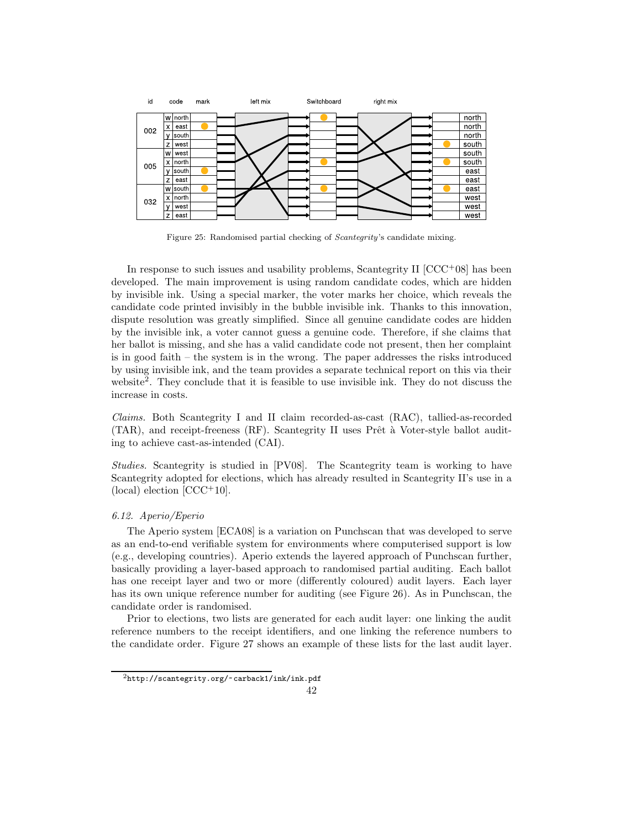

Figure 25: Randomised partial checking of Scantegrity's candidate mixing.

In response to such issues and usability problems, Scantegrity II  $[CC<sup>+08</sup>]$  has been developed. The main improvement is using random candidate codes, which are hidden by invisible ink. Using a special marker, the voter marks her choice, which reveals the candidate code printed invisibly in the bubble invisible ink. Thanks to this innovation, dispute resolution was greatly simplified. Since all genuine candidate codes are hidden by the invisible ink, a voter cannot guess a genuine code. Therefore, if she claims that her ballot is missing, and she has a valid candidate code not present, then her complaint is in good faith – the system is in the wrong. The paper addresses the risks introduced by using invisible ink, and the team provides a separate technical report on this via their website<sup>2</sup>. They conclude that it is feasible to use invisible ink. They do not discuss the increase in costs.

Claims. Both Scantegrity I and II claim recorded-as-cast (RAC), tallied-as-recorded  $(TAR)$ , and receipt-freeness  $(RF)$ . Scantegrity II uses Prêt à Voter-style ballot auditing to achieve cast-as-intended (CAI).

Studies. Scantegrity is studied in [PV08]. The Scantegrity team is working to have Scantegrity adopted for elections, which has already resulted in Scantegrity II's use in a  $(local)$  election  $[CCC<sup>+</sup>10]$ .

## 6.12. Aperio/Eperio

The Aperio system [ECA08] is a variation on Punchscan that was developed to serve as an end-to-end verifiable system for environments where computerised support is low (e.g., developing countries). Aperio extends the layered approach of Punchscan further, basically providing a layer-based approach to randomised partial auditing. Each ballot has one receipt layer and two or more (differently coloured) audit layers. Each layer has its own unique reference number for auditing (see Figure 26). As in Punchscan, the candidate order is randomised.

Prior to elections, two lists are generated for each audit layer: one linking the audit reference numbers to the receipt identifiers, and one linking the reference numbers to the candidate order. Figure 27 shows an example of these lists for the last audit layer.

 $^{2}$ http://scantegrity.org/~carback1/ink/ink.pdf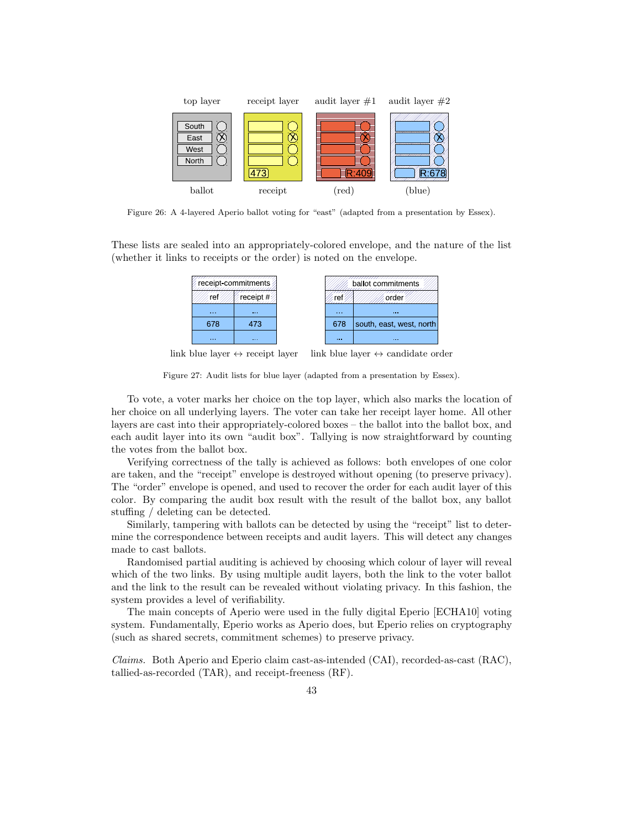

Figure 26: A 4-layered Aperio ballot voting for "east" (adapted from a presentation by Essex).

These lists are sealed into an appropriately-colored envelope, and the nature of the list (whether it links to receipts or the order) is noted on the envelope.

|       | receipt-commitments |        | ballot commitments       |
|-------|---------------------|--------|--------------------------|
|       |                     |        |                          |
| 1.111 | 1000                | 1.1.1  | 1000                     |
| 678   | 473                 | 678    | south, east, west, north |
| 10.00 | 1111                | 10,000 | <b>A 6 8</b>             |

link blue layer  $\leftrightarrow$  receipt layer link blue layer  $\leftrightarrow$  candidate order

Figure 27: Audit lists for blue layer (adapted from a presentation by Essex).

To vote, a voter marks her choice on the top layer, which also marks the location of her choice on all underlying layers. The voter can take her receipt layer home. All other layers are cast into their appropriately-colored boxes – the ballot into the ballot box, and each audit layer into its own "audit box". Tallying is now straightforward by counting the votes from the ballot box.

Verifying correctness of the tally is achieved as follows: both envelopes of one color are taken, and the "receipt" envelope is destroyed without opening (to preserve privacy). The "order" envelope is opened, and used to recover the order for each audit layer of this color. By comparing the audit box result with the result of the ballot box, any ballot stuffing / deleting can be detected.

Similarly, tampering with ballots can be detected by using the "receipt" list to determine the correspondence between receipts and audit layers. This will detect any changes made to cast ballots.

Randomised partial auditing is achieved by choosing which colour of layer will reveal which of the two links. By using multiple audit layers, both the link to the voter ballot and the link to the result can be revealed without violating privacy. In this fashion, the system provides a level of verifiability.

The main concepts of Aperio were used in the fully digital Eperio [ECHA10] voting system. Fundamentally, Eperio works as Aperio does, but Eperio relies on cryptography (such as shared secrets, commitment schemes) to preserve privacy.

Claims. Both Aperio and Eperio claim cast-as-intended (CAI), recorded-as-cast (RAC), tallied-as-recorded (TAR), and receipt-freeness (RF).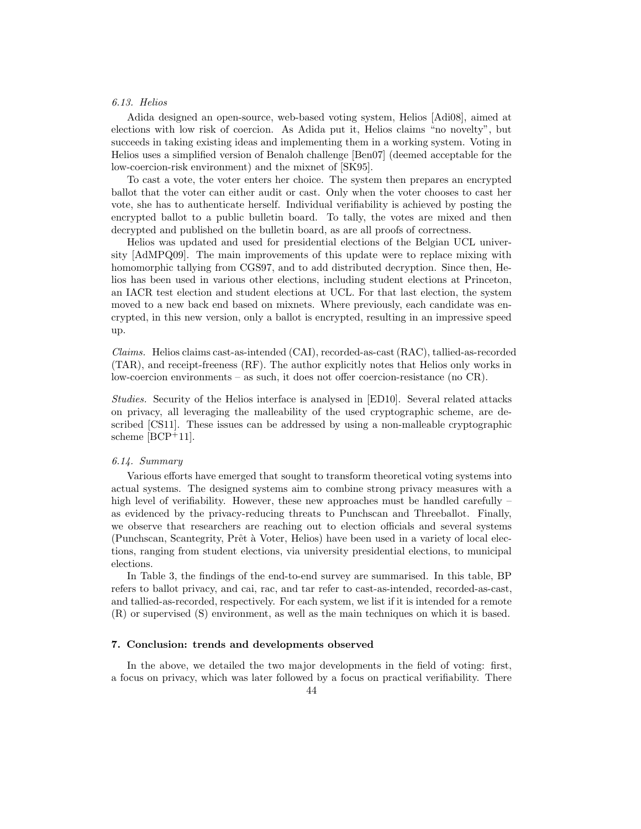# 6.13. Helios

Adida designed an open-source, web-based voting system, Helios [Adi08], aimed at elections with low risk of coercion. As Adida put it, Helios claims "no novelty", but succeeds in taking existing ideas and implementing them in a working system. Voting in Helios uses a simplified version of Benaloh challenge [Ben07] (deemed acceptable for the low-coercion-risk environment) and the mixnet of [SK95].

To cast a vote, the voter enters her choice. The system then prepares an encrypted ballot that the voter can either audit or cast. Only when the voter chooses to cast her vote, she has to authenticate herself. Individual verifiability is achieved by posting the encrypted ballot to a public bulletin board. To tally, the votes are mixed and then decrypted and published on the bulletin board, as are all proofs of correctness.

Helios was updated and used for presidential elections of the Belgian UCL university [AdMPQ09]. The main improvements of this update were to replace mixing with homomorphic tallying from CGS97, and to add distributed decryption. Since then, Helios has been used in various other elections, including student elections at Princeton, an IACR test election and student elections at UCL. For that last election, the system moved to a new back end based on mixnets. Where previously, each candidate was encrypted, in this new version, only a ballot is encrypted, resulting in an impressive speed up.

Claims. Helios claims cast-as-intended (CAI), recorded-as-cast (RAC), tallied-as-recorded (TAR), and receipt-freeness (RF). The author explicitly notes that Helios only works in low-coercion environments – as such, it does not offer coercion-resistance (no CR).

Studies. Security of the Helios interface is analysed in [ED10]. Several related attacks on privacy, all leveraging the malleability of the used cryptographic scheme, are described [CS11]. These issues can be addressed by using a non-malleable cryptographic scheme [BCP<sup>+</sup>11].

# 6.14. Summary

Various efforts have emerged that sought to transform theoretical voting systems into actual systems. The designed systems aim to combine strong privacy measures with a high level of verifiability. However, these new approaches must be handled carefully – as evidenced by the privacy-reducing threats to Punchscan and Threeballot. Finally, we observe that researchers are reaching out to election officials and several systems (Punchscan, Scantegrity, Prêt à Voter, Helios) have been used in a variety of local elections, ranging from student elections, via university presidential elections, to municipal elections.

In Table 3, the findings of the end-to-end survey are summarised. In this table, BP refers to ballot privacy, and cai, rac, and tar refer to cast-as-intended, recorded-as-cast, and tallied-as-recorded, respectively. For each system, we list if it is intended for a remote (R) or supervised (S) environment, as well as the main techniques on which it is based.

## 7. Conclusion: trends and developments observed

In the above, we detailed the two major developments in the field of voting: first, a focus on privacy, which was later followed by a focus on practical verifiability. There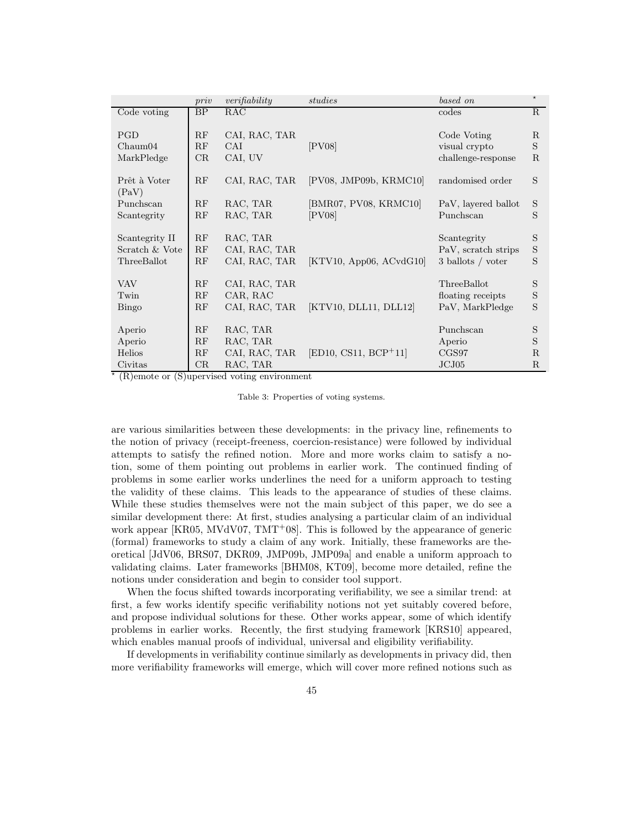|                                                 | priv           | verifiability                              | studies                                                             | based on                                                | $\star$                         |
|-------------------------------------------------|----------------|--------------------------------------------|---------------------------------------------------------------------|---------------------------------------------------------|---------------------------------|
| Code voting                                     | BP             | RAC                                        |                                                                     | codes                                                   | R                               |
| <b>PGD</b><br>Chaum04<br>MarkPledge             | RF<br>RF<br>CR | CAI, RAC, TAR<br>CAI<br>CAI, UV            | [PV08]                                                              | Code Voting<br>visual crypto<br>challenge-response      | $\mathbf R$<br>S<br>$R_{\cdot}$ |
| Prêt à Voter                                    | RF             | CAI, RAC, TAR                              | [PV08, JMP09b, KRMC10]                                              | randomised order                                        | S                               |
| (PaV)<br>Punchscan<br>Scantegrity               | RF<br>RF       | RAC, TAR<br>RAC, TAR                       | [BMR07, PV08, KRMC10]<br>[PV08]                                     | PaV, layered ballot<br>Punchscan                        | S<br>S                          |
| Scantegrity II<br>Scratch & Vote<br>ThreeBallot | RF<br>RF<br>RF | RAC, TAR<br>CAI, RAC, TAR<br>CAI, RAC, TAR | $\begin{bmatrix} KTV10, \text{App06}, \text{ACvdG10} \end{bmatrix}$ | Scantegrity<br>PaV, scratch strips<br>3 ballots / voter | S<br>$\mathbf S$<br>S           |
| <b>VAV</b>                                      | RF             | CAI, RAC, TAR                              |                                                                     | ThreeBallot                                             | S                               |
| Twin                                            | RF             | CAR, RAC                                   |                                                                     | floating receipts                                       | $\mathbf S$                     |
| Bingo                                           | RF             | CAI, RAC, TAR                              | [KTV10, DLL11, DLL12]                                               | PaV, MarkPledge                                         | S                               |
| Aperio<br>Aperio                                | RF<br>RF       | RAC, TAR<br>RAC, TAR                       |                                                                     | Punchscan<br>Aperio                                     | S<br>S                          |
| Helios                                          | RF             | CAI, RAC, TAR                              | $[ED10, CS11, BCP+11]$                                              | CGS97                                                   | $\mathbf R$                     |
| Civitas                                         | CR             | RAC, TAR                                   |                                                                     | JCJ05                                                   | R                               |

⋆ (R)emote or (S)upervised voting environment

Table 3: Properties of voting systems.

are various similarities between these developments: in the privacy line, refinements to the notion of privacy (receipt-freeness, coercion-resistance) were followed by individual attempts to satisfy the refined notion. More and more works claim to satisfy a notion, some of them pointing out problems in earlier work. The continued finding of problems in some earlier works underlines the need for a uniform approach to testing the validity of these claims. This leads to the appearance of studies of these claims. While these studies themselves were not the main subject of this paper, we do see a similar development there: At first, studies analysing a particular claim of an individual work appear  $[KR05, MVdV07, TMT+08]$ . This is followed by the appearance of generic (formal) frameworks to study a claim of any work. Initially, these frameworks are theoretical [JdV06, BRS07, DKR09, JMP09b, JMP09a] and enable a uniform approach to validating claims. Later frameworks [BHM08, KT09], become more detailed, refine the notions under consideration and begin to consider tool support.

When the focus shifted towards incorporating verifiability, we see a similar trend: at first, a few works identify specific verifiability notions not yet suitably covered before, and propose individual solutions for these. Other works appear, some of which identify problems in earlier works. Recently, the first studying framework [KRS10] appeared, which enables manual proofs of individual, universal and eligibility verifiability.

If developments in verifiability continue similarly as developments in privacy did, then more verifiability frameworks will emerge, which will cover more refined notions such as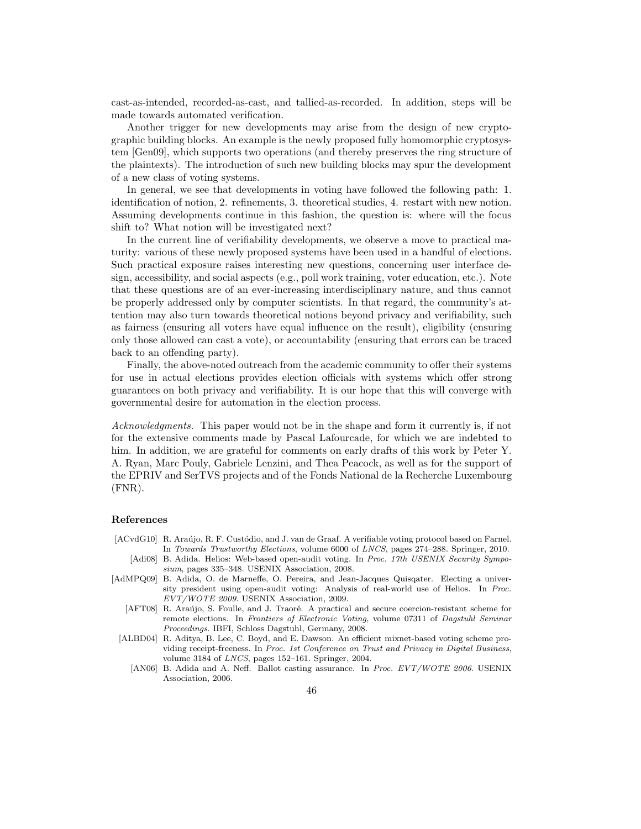cast-as-intended, recorded-as-cast, and tallied-as-recorded. In addition, steps will be made towards automated verification.

Another trigger for new developments may arise from the design of new cryptographic building blocks. An example is the newly proposed fully homomorphic cryptosystem [Gen09], which supports two operations (and thereby preserves the ring structure of the plaintexts). The introduction of such new building blocks may spur the development of a new class of voting systems.

In general, we see that developments in voting have followed the following path: 1. identification of notion, 2. refinements, 3. theoretical studies, 4. restart with new notion. Assuming developments continue in this fashion, the question is: where will the focus shift to? What notion will be investigated next?

In the current line of verifiability developments, we observe a move to practical maturity: various of these newly proposed systems have been used in a handful of elections. Such practical exposure raises interesting new questions, concerning user interface design, accessibility, and social aspects (e.g., poll work training, voter education, etc.). Note that these questions are of an ever-increasing interdisciplinary nature, and thus cannot be properly addressed only by computer scientists. In that regard, the community's attention may also turn towards theoretical notions beyond privacy and verifiability, such as fairness (ensuring all voters have equal influence on the result), eligibility (ensuring only those allowed can cast a vote), or accountability (ensuring that errors can be traced back to an offending party).

Finally, the above-noted outreach from the academic community to offer their systems for use in actual elections provides election officials with systems which offer strong guarantees on both privacy and verifiability. It is our hope that this will converge with governmental desire for automation in the election process.

Acknowledgments. This paper would not be in the shape and form it currently is, if not for the extensive comments made by Pascal Lafourcade, for which we are indebted to him. In addition, we are grateful for comments on early drafts of this work by Peter Y. A. Ryan, Marc Pouly, Gabriele Lenzini, and Thea Peacock, as well as for the support of the EPRIV and SerTVS projects and of the Fonds National de la Recherche Luxembourg (FNR).

# References

- [ACvdG10] R. Araújo, R. F. Custódio, and J. van de Graaf. A verifiable voting protocol based on Farnel. In Towards Trustworthy Elections, volume 6000 of LNCS, pages 274–288. Springer, 2010.
	- [Adi08] B. Adida. Helios: Web-based open-audit voting. In Proc. 17th USENIX Security Symposium, pages 335–348. USENIX Association, 2008.
- [AdMPQ09] B. Adida, O. de Marneffe, O. Pereira, and Jean-Jacques Quisqater. Electing a university president using open-audit voting: Analysis of real-world use of Helios. In Proc. EVT/WOTE 2009. USENIX Association, 2009.
	- [AFT08] R. Araújo, S. Foulle, and J. Traoré. A practical and secure coercion-resistant scheme for remote elections. In Frontiers of Electronic Voting, volume 07311 of Dagstuhl Seminar Proceedings. IBFI, Schloss Dagstuhl, Germany, 2008.
	- [ALBD04] R. Aditya, B. Lee, C. Boyd, and E. Dawson. An efficient mixnet-based voting scheme providing receipt-freeness. In Proc. 1st Conference on Trust and Privacy in Digital Business, volume 3184 of LNCS, pages 152–161. Springer, 2004.
		- [AN06] B. Adida and A. Neff. Ballot casting assurance. In Proc. EVT/WOTE 2006. USENIX Association, 2006.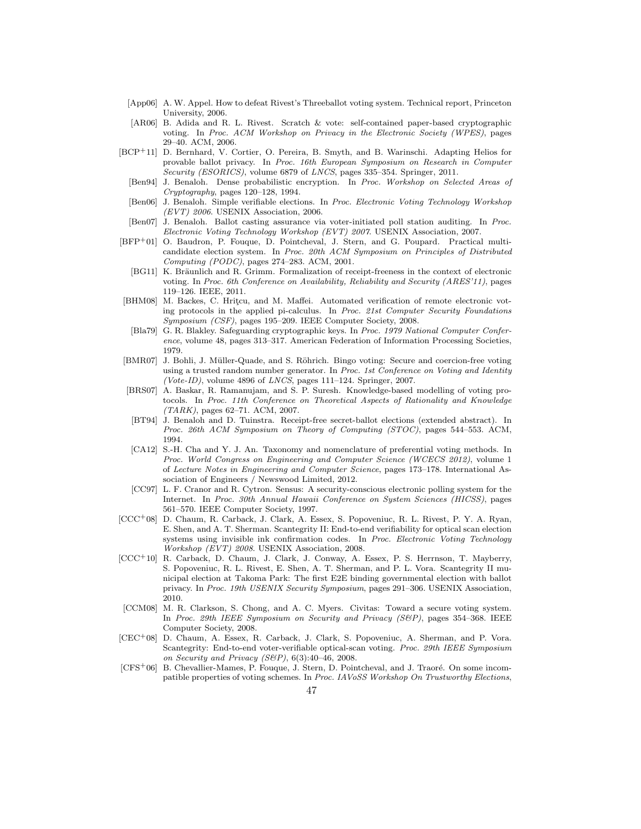- [App06] A. W. Appel. How to defeat Rivest's Threeballot voting system. Technical report, Princeton University, 2006.
- [AR06] B. Adida and R. L. Rivest. Scratch & vote: self-contained paper-based cryptographic voting. In Proc. ACM Workshop on Privacy in the Electronic Society (WPES), pages 29–40. ACM, 2006.
- [BCP+11] D. Bernhard, V. Cortier, O. Pereira, B. Smyth, and B. Warinschi. Adapting Helios for provable ballot privacy. In Proc. 16th European Symposium on Research in Computer Security (ESORICS), volume 6879 of LNCS, pages 335–354. Springer, 2011.
	- [Ben94] J. Benaloh. Dense probabilistic encryption. In Proc. Workshop on Selected Areas of Cryptography, pages 120–128, 1994.
	- [Ben06] J. Benaloh. Simple verifiable elections. In Proc. Electronic Voting Technology Workshop  $(EVT)$  2006. USENIX Association, 2006.
- [Ben07] J. Benaloh. Ballot casting assurance via voter-initiated poll station auditing. In Proc. Electronic Voting Technology Workshop (EVT) 2007. USENIX Association, 2007.
- [BFP+01] O. Baudron, P. Fouque, D. Pointcheval, J. Stern, and G. Poupard. Practical multicandidate election system. In Proc. 20th ACM Symposium on Principles of Distributed Computing (PODC), pages 274–283. ACM, 2001.
- [BG11] K. Bräunlich and R. Grimm. Formalization of receipt-freeness in the context of electronic voting. In Proc. 6th Conference on Availability, Reliability and Security (ARES'11), pages 119–126. IEEE, 2011.
- [BHM08] M. Backes, C. Hritçu, and M. Maffei. Automated verification of remote electronic voting protocols in the applied pi-calculus. In Proc. 21st Computer Security Foundations Symposium (CSF), pages 195–209. IEEE Computer Society, 2008.
- [Bla79] G. R. Blakley. Safeguarding cryptographic keys. In Proc. 1979 National Computer Conference, volume 48, pages 313–317. American Federation of Information Processing Societies, 1979.
- [BMR07] J. Bohli, J. Müller-Quade, and S. Röhrich. Bingo voting: Secure and coercion-free voting using a trusted random number generator. In Proc. 1st Conference on Voting and Identity (Vote-ID), volume  $4896$  of LNCS, pages  $111-124$ . Springer, 2007.
- [BRS07] A. Baskar, R. Ramanujam, and S. P. Suresh. Knowledge-based modelling of voting protocols. In Proc. 11th Conference on Theoretical Aspects of Rationality and Knowledge (TARK), pages 62–71. ACM, 2007.
- [BT94] J. Benaloh and D. Tuinstra. Receipt-free secret-ballot elections (extended abstract). In Proc. 26th ACM Symposium on Theory of Computing (STOC), pages 544–553. ACM, 1994.
- [CA12] S.-H. Cha and Y. J. An. Taxonomy and nomenclature of preferential voting methods. In Proc. World Congress on Engineering and Computer Science (WCECS 2012), volume 1 of Lecture Notes in Engineering and Computer Science, pages 173–178. International Association of Engineers / Newswood Limited, 2012.
- [CC97] L. F. Cranor and R. Cytron. Sensus: A security-conscious electronic polling system for the Internet. In Proc. 30th Annual Hawaii Conference on System Sciences (HICSS), pages 561–570. IEEE Computer Society, 1997.
- [CCC+08] D. Chaum, R. Carback, J. Clark, A. Essex, S. Popoveniuc, R. L. Rivest, P. Y. A. Ryan, E. Shen, and A. T. Sherman. Scantegrity II: End-to-end verifiability for optical scan election systems using invisible ink confirmation codes. In Proc. Electronic Voting Technology Workshop (EVT) 2008. USENIX Association, 2008.
- [CCC+10] R. Carback, D. Chaum, J. Clark, J. Conway, A. Essex, P. S. Herrnson, T. Mayberry, S. Popoveniuc, R. L. Rivest, E. Shen, A. T. Sherman, and P. L. Vora. Scantegrity II municipal election at Takoma Park: The first E2E binding governmental election with ballot privacy. In Proc. 19th USENIX Security Symposium, pages 291–306. USENIX Association, 2010.
- [CCM08] M. R. Clarkson, S. Chong, and A. C. Myers. Civitas: Toward a secure voting system. In Proc. 29th IEEE Symposium on Security and Privacy (S&P), pages 354–368. IEEE Computer Society, 2008.
- [CEC+08] D. Chaum, A. Essex, R. Carback, J. Clark, S. Popoveniuc, A. Sherman, and P. Vora. Scantegrity: End-to-end voter-verifiable optical-scan voting. Proc. 29th IEEE Symposium on Security and Privacy (S&P), 6(3):40–46, 2008.
- [CFS+06] B. Chevallier-Mames, P. Fouque, J. Stern, D. Pointcheval, and J. Traoré. On some incompatible properties of voting schemes. In Proc. IAVoSS Workshop On Trustworthy Elections,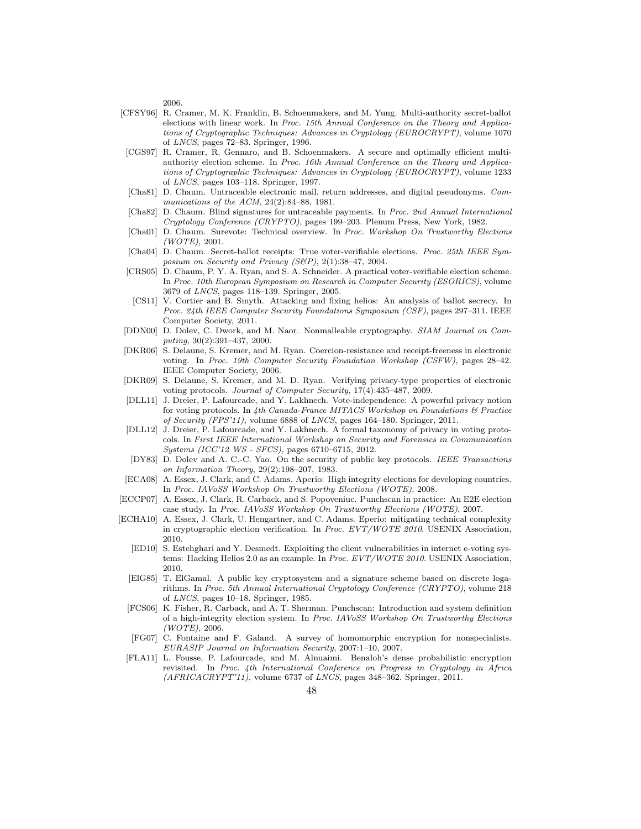2006.

- [CFSY96] R. Cramer, M. K. Franklin, B. Schoenmakers, and M. Yung. Multi-authority secret-ballot elections with linear work. In Proc. 15th Annual Conference on the Theory and Applications of Cryptographic Techniques: Advances in Cryptology (EUROCRYPT), volume 1070 of LNCS, pages 72–83. Springer, 1996.
- [CGS97] R. Cramer, R. Gennaro, and B. Schoenmakers. A secure and optimally efficient multiauthority election scheme. In Proc. 16th Annual Conference on the Theory and Applications of Cryptographic Techniques: Advances in Cryptology (EUROCRYPT), volume 1233 of LNCS, pages 103–118. Springer, 1997.
- [Cha81] D. Chaum. Untraceable electronic mail, return addresses, and digital pseudonyms. Communications of the ACM, 24(2):84–88, 1981.
- [Cha82] D. Chaum. Blind signatures for untraceable payments. In Proc. 2nd Annual International Cryptology Conference (CRYPTO), pages 199–203. Plenum Press, New York, 1982.
- [Cha01] D. Chaum. Surevote: Technical overview. In Proc. Workshop On Trustworthy Elections  $(WOTE)$ , 2001.
- [Cha04] D. Chaum. Secret-ballot receipts: True voter-verifiable elections. Proc. 25th IEEE Symposium on Security and Privacy (S&P), 2(1):38–47, 2004.
- [CRS05] D. Chaum, P. Y. A. Ryan, and S. A. Schneider. A practical voter-verifiable election scheme. In Proc. 10th European Symposium on Research in Computer Security (ESORICS), volume 3679 of LNCS, pages 118–139. Springer, 2005.
- [CS11] V. Cortier and B. Smyth. Attacking and fixing helios: An analysis of ballot secrecy. In Proc. 24th IEEE Computer Security Foundations Symposium (CSF), pages 297–311. IEEE Computer Society, 2011.
- [DDN00] D. Dolev, C. Dwork, and M. Naor. Nonmalleable cryptography. SIAM Journal on Computing, 30(2):391–437, 2000.
- [DKR06] S. Delaune, S. Kremer, and M. Ryan. Coercion-resistance and receipt-freeness in electronic voting. In Proc. 19th Computer Security Foundation Workshop (CSFW), pages 28–42. IEEE Computer Society, 2006.
- [DKR09] S. Delaune, S. Kremer, and M. D. Ryan. Verifying privacy-type properties of electronic voting protocols. Journal of Computer Security, 17(4):435–487, 2009.
- [DLL11] J. Dreier, P. Lafourcade, and Y. Lakhnech. Vote-independence: A powerful privacy notion for voting protocols. In 4th Canada-France MITACS Workshop on Foundations  $\mathcal C$  Practice of Security (FPS'11), volume 6888 of LNCS, pages 164–180. Springer, 2011.
- [DLL12] J. Dreier, P. Lafourcade, and Y. Lakhnech. A formal taxonomy of privacy in voting protocols. In First IEEE International Workshop on Security and Forensics in Communication Systems (ICC'12 WS - SFCS), pages 6710–6715, 2012.
- [DY83] D. Dolev and A. C.-C. Yao. On the security of public key protocols. IEEE Transactions on Information Theory, 29(2):198–207, 1983.
- [ECA08] A. Essex, J. Clark, and C. Adams. Aperio: High integrity elections for developing countries. In Proc. IAVoSS Workshop On Trustworthy Elections (WOTE), 2008.
- [ECCP07] A. Essex, J. Clark, R. Carback, and S. Popoveniuc. Punchscan in practice: An E2E election case study. In Proc. IAVoSS Workshop On Trustworthy Elections (WOTE), 2007.
- [ECHA10] A. Essex, J. Clark, U. Hengartner, and C. Adams. Eperio: mitigating technical complexity in cryptographic election verification. In Proc. EVT/WOTE 2010. USENIX Association, 2010.
	- [ED10] S. Estehghari and Y. Desmedt. Exploiting the client vulnerabilities in internet e-voting systems: Hacking Helios 2.0 as an example. In Proc. EVT/WOTE 2010. USENIX Association, 2010.
	- [ElG85] T. ElGamal. A public key cryptosystem and a signature scheme based on discrete logarithms. In Proc. 5th Annual International Cryptology Conference (CRYPTO), volume 218 of LNCS, pages 10–18. Springer, 1985.
	- [FCS06] K. Fisher, R. Carback, and A. T. Sherman. Punchscan: Introduction and system definition of a high-integrity election system. In Proc. IAVoSS Workshop On Trustworthy Elections  $(WOTE)$ , 2006.
	- [FG07] C. Fontaine and F. Galand. A survey of homomorphic encryption for nonspecialists. EURASIP Journal on Information Security, 2007:1–10, 2007.
	- [FLA11] L. Fousse, P. Lafourcade, and M. Alnuaimi. Benaloh's dense probabilistic encryption revisited. In Proc. 4th International Conference on Progress in Cryptology in Africa  $(AFRICACRYPT'11)$ , volume 6737 of *LNCS*, pages 348-362. Springer, 2011.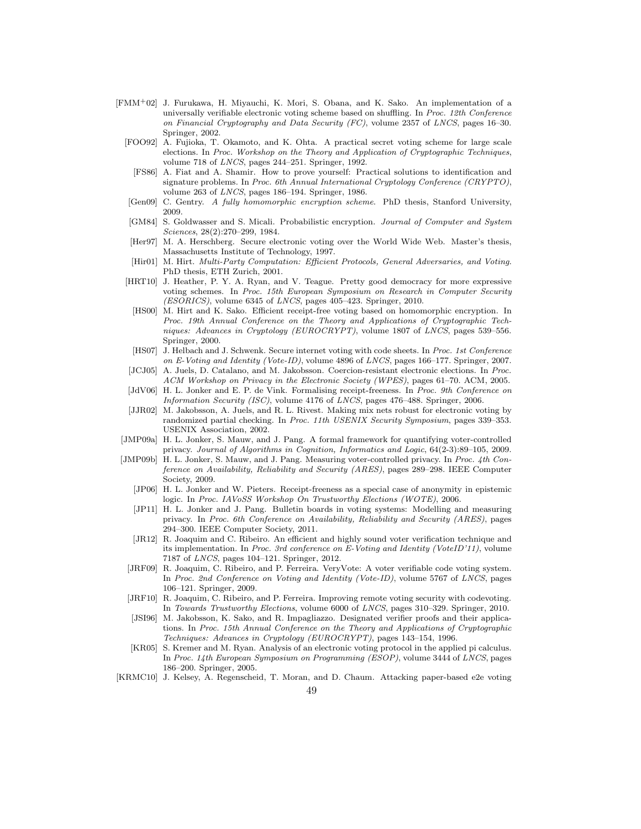- [FMM+02] J. Furukawa, H. Miyauchi, K. Mori, S. Obana, and K. Sako. An implementation of a universally verifiable electronic voting scheme based on shuffling. In Proc. 12th Conference on Financial Cryptography and Data Security (FC), volume 2357 of LNCS, pages 16–30. Springer, 2002.
	- [FOO92] A. Fujioka, T. Okamoto, and K. Ohta. A practical secret voting scheme for large scale elections. In Proc. Workshop on the Theory and Application of Cryptographic Techniques, volume 718 of LNCS, pages 244–251. Springer, 1992.
	- [FS86] A. Fiat and A. Shamir. How to prove yourself: Practical solutions to identification and signature problems. In Proc. 6th Annual International Cryptology Conference (CRYPTO), volume 263 of LNCS, pages 186–194. Springer, 1986.
	- [Gen09] C. Gentry. A fully homomorphic encryption scheme. PhD thesis, Stanford University, 2009.
	- [GM84] S. Goldwasser and S. Micali. Probabilistic encryption. Journal of Computer and System Sciences, 28(2):270–299, 1984.
	- [Her97] M. A. Herschberg. Secure electronic voting over the World Wide Web. Master's thesis, Massachusetts Institute of Technology, 1997.
	- [Hir01] M. Hirt. Multi-Party Computation: Efficient Protocols, General Adversaries, and Voting. PhD thesis, ETH Zurich, 2001.
	- [HRT10] J. Heather, P. Y. A. Ryan, and V. Teague. Pretty good democracy for more expressive voting schemes. In Proc. 15th European Symposium on Research in Computer Security (ESORICS), volume 6345 of LNCS, pages 405–423. Springer, 2010.
	- [HS00] M. Hirt and K. Sako. Efficient receipt-free voting based on homomorphic encryption. In Proc. 19th Annual Conference on the Theory and Applications of Cryptographic Techniques: Advances in Cryptology (EUROCRYPT), volume 1807 of LNCS, pages 539–556. Springer, 2000.
	- [HS07] J. Helbach and J. Schwenk. Secure internet voting with code sheets. In Proc. 1st Conference on E-Voting and Identity (Vote-ID), volume 4896 of LNCS, pages 166–177. Springer, 2007.
	- [JCJ05] A. Juels, D. Catalano, and M. Jakobsson. Coercion-resistant electronic elections. In Proc. ACM Workshop on Privacy in the Electronic Society (WPES), pages 61–70. ACM, 2005.
	- [JdV06] H. L. Jonker and E. P. de Vink. Formalising receipt-freeness. In Proc. 9th Conference on Information Security (ISC), volume 4176 of LNCS, pages 476–488. Springer, 2006.
	- [JJR02] M. Jakobsson, A. Juels, and R. L. Rivest. Making mix nets robust for electronic voting by randomized partial checking. In Proc. 11th USENIX Security Symposium, pages 339–353. USENIX Association, 2002.
- [JMP09a] H. L. Jonker, S. Mauw, and J. Pang. A formal framework for quantifying voter-controlled privacy. Journal of Algorithms in Cognition, Informatics and Logic, 64(2-3):89–105, 2009.
- [JMP09b] H. L. Jonker, S. Mauw, and J. Pang. Measuring voter-controlled privacy. In Proc. 4th Conference on Availability, Reliability and Security (ARES), pages 289–298. IEEE Computer Society, 2009.
	- [JP06] H. L. Jonker and W. Pieters. Receipt-freeness as a special case of anonymity in epistemic logic. In Proc. IAVoSS Workshop On Trustworthy Elections (WOTE), 2006.
	- [JP11] H. L. Jonker and J. Pang. Bulletin boards in voting systems: Modelling and measuring privacy. In Proc. 6th Conference on Availability, Reliability and Security (ARES), pages 294–300. IEEE Computer Society, 2011.
	- [JR12] R. Joaquim and C. Ribeiro. An efficient and highly sound voter verification technique and its implementation. In Proc. 3rd conference on E-Voting and Identity (VoteID'11), volume 7187 of LNCS, pages 104–121. Springer, 2012.
	- [JRF09] R. Joaquim, C. Ribeiro, and P. Ferreira. VeryVote: A voter verifiable code voting system. In Proc. 2nd Conference on Voting and Identity (Vote-ID), volume 5767 of LNCS, pages 106–121. Springer, 2009.
	- [JRF10] R. Joaquim, C. Ribeiro, and P. Ferreira. Improving remote voting security with codevoting. In Towards Trustworthy Elections, volume 6000 of LNCS, pages 310–329. Springer, 2010.
	- [JSI96] M. Jakobsson, K. Sako, and R. Impagliazzo. Designated verifier proofs and their applications. In Proc. 15th Annual Conference on the Theory and Applications of Cryptographic Techniques: Advances in Cryptology (EUROCRYPT), pages 143–154, 1996.
	- [KR05] S. Kremer and M. Ryan. Analysis of an electronic voting protocol in the applied pi calculus. In Proc. 14th European Symposium on Programming (ESOP), volume 3444 of LNCS, pages 186–200. Springer, 2005.
- [KRMC10] J. Kelsey, A. Regenscheid, T. Moran, and D. Chaum. Attacking paper-based e2e voting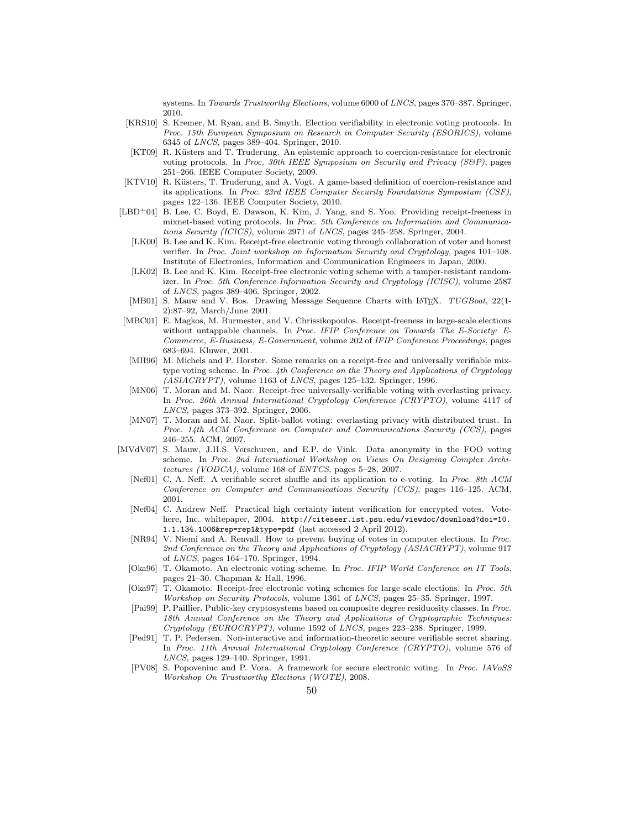systems. In Towards Trustworthy Elections, volume 6000 of LNCS, pages 370–387. Springer, 2010.

- [KRS10] S. Kremer, M. Ryan, and B. Smyth. Election verifiability in electronic voting protocols. In Proc. 15th European Symposium on Research in Computer Security (ESORICS), volume 6345 of LNCS, pages 389–404. Springer, 2010.
- [KT09] R. Küsters and T. Truderung. An epistemic approach to coercion-resistance for electronic voting protocols. In Proc. 30th IEEE Symposium on Security and Privacy (S&P), pages 251–266. IEEE Computer Society, 2009.
- [KTV10] R. Küsters, T. Truderung, and A. Vogt. A game-based definition of coercion-resistance and its applications. In Proc. 23rd IEEE Computer Security Foundations Symposium (CSF), pages 122–136. IEEE Computer Society, 2010.
- [LBD<sup>+</sup>04] B. Lee, C. Boyd, E. Dawson, K. Kim, J. Yang, and S. Yoo. Providing receipt-freeness in mixnet-based voting protocols. In Proc. 5th Conference on Information and Communications Security (ICICS), volume 2971 of LNCS, pages 245–258. Springer, 2004.
	- [LK00] B. Lee and K. Kim. Receipt-free electronic voting through collaboration of voter and honest verifier. In Proc. Joint workshop on Information Security and Cryptology, pages 101–108. Institute of Electronics, Information and Communication Engineers in Japan, 2000.
	- [LK02] B. Lee and K. Kim. Receipt-free electronic voting scheme with a tamper-resistant randomizer. In Proc. 5th Conference Information Security and Cryptology (ICISC), volume 2587 of LNCS, pages 389–406. Springer, 2002.
	- [MB01] S. Mauw and V. Bos. Drawing Message Sequence Charts with LAT<sub>E</sub>X. TUGBoat, 22(1-2):87–92, March/June 2001.
- [MBC01] E. Magkos, M. Burmester, and V. Chrissikopoulos. Receipt-freeness in large-scale elections without untappable channels. In Proc. IFIP Conference on Towards The E-Society: E-Commerce, E-Business, E-Government, volume 202 of IFIP Conference Proceedings, pages 683–694. Kluwer, 2001.
- [MH96] M. Michels and P. Horster. Some remarks on a receipt-free and universally verifiable mixtype voting scheme. In Proc. 4th Conference on the Theory and Applications of Cryptology  $(ASIACRYPT)$ , volume 1163 of *LNCS*, pages 125-132. Springer, 1996.
- [MN06] T. Moran and M. Naor. Receipt-free universally-verifiable voting with everlasting privacy. In Proc. 26th Annual International Cryptology Conference (CRYPTO), volume 4117 of LNCS, pages 373–392. Springer, 2006.
- [MN07] T. Moran and M. Naor. Split-ballot voting: everlasting privacy with distributed trust. In Proc. 14th ACM Conference on Computer and Communications Security (CCS), pages 246–255. ACM, 2007.
- [MVdV07] S. Mauw, J.H.S. Verschuren, and E.P. de Vink. Data anonymity in the FOO voting scheme. In Proc. 2nd International Workshop on Views On Designing Complex Architectures (VODCA), volume 168 of ENTCS, pages 5–28, 2007.
	- [Nef01] C. A. Neff. A verifiable secret shuffle and its application to e-voting. In Proc. 8th ACM Conference on Computer and Communications Security (CCS), pages 116–125. ACM, 2001.
	- [Nef04] C. Andrew Neff. Practical high certainty intent verification for encrypted votes. Votehere, Inc. whitepaper, 2004. http://citeseer.ist.psu.edu/viewdoc/download?doi=10. 1.1.134.1006&rep=rep1&type=pdf (last accessed 2 April 2012).
	- [NR94] V. Niemi and A. Renvall. How to prevent buying of votes in computer elections. In Proc. 2nd Conference on the Theory and Applications of Cryptology (ASIACRYPT), volume 917 of LNCS, pages 164–170. Springer, 1994.
	- [Oka96] T. Okamoto. An electronic voting scheme. In Proc. IFIP World Conference on IT Tools, pages 21–30. Chapman & Hall, 1996.
	- [Oka97] T. Okamoto. Receipt-free electronic voting schemes for large scale elections. In Proc. 5th Workshop on Security Protocols, volume 1361 of LNCS, pages 25–35. Springer, 1997.
	- [Pai99] P. Paillier. Public-key cryptosystems based on composite degree residuosity classes. In Proc. 18th Annual Conference on the Theory and Applications of Cryptographic Techniques: Cryptology (EUROCRYPT), volume 1592 of LNCS, pages 223–238. Springer, 1999.
	- [Ped91] T. P. Pedersen. Non-interactive and information-theoretic secure verifiable secret sharing. In Proc. 11th Annual International Cryptology Conference (CRYPTO), volume 576 of LNCS, pages 129–140. Springer, 1991.
	- [PV08] S. Popoveniuc and P. Vora. A framework for secure electronic voting. In Proc. IAVoSS Workshop On Trustworthy Elections (WOTE), 2008.